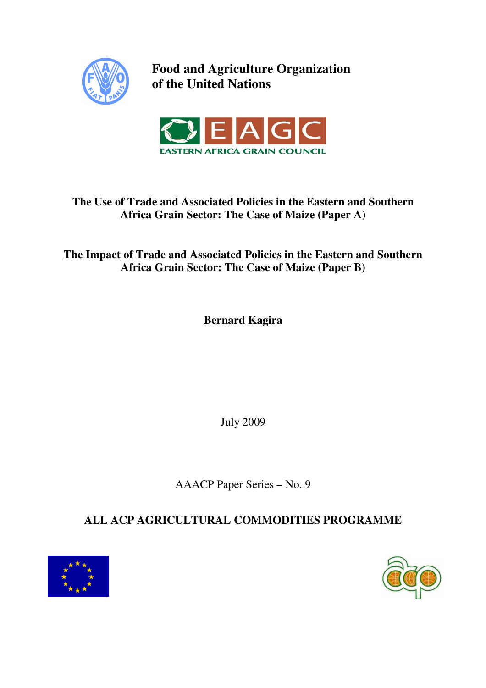

**Food and Agriculture Organization of the United Nations** 



## **The Use of Trade and Associated Policies in the Eastern and Southern Africa Grain Sector: The Case of Maize (Paper A)**

**The Impact of Trade and Associated Policies in the Eastern and Southern Africa Grain Sector: The Case of Maize (Paper B)** 

**Bernard Kagira** 

July 2009

AAACP Paper Series – No. 9

# **ALL ACP AGRICULTURAL COMMODITIES PROGRAMME**



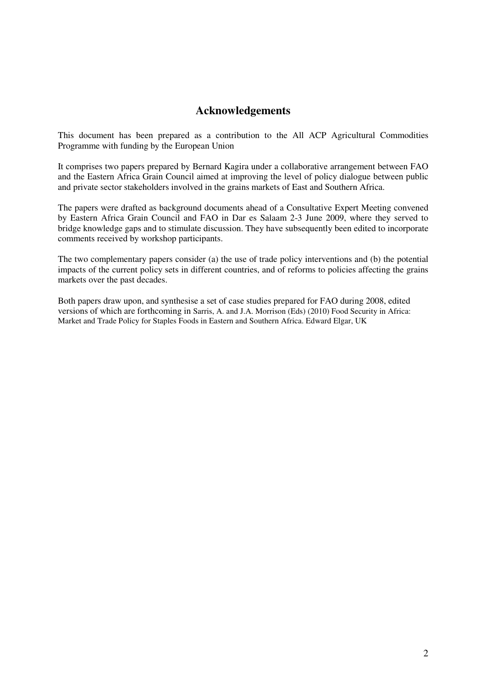## **Acknowledgements**

This document has been prepared as a contribution to the All ACP Agricultural Commodities Programme with funding by the European Union

It comprises two papers prepared by Bernard Kagira under a collaborative arrangement between FAO and the Eastern Africa Grain Council aimed at improving the level of policy dialogue between public and private sector stakeholders involved in the grains markets of East and Southern Africa.

The papers were drafted as background documents ahead of a Consultative Expert Meeting convened by Eastern Africa Grain Council and FAO in Dar es Salaam 2-3 June 2009, where they served to bridge knowledge gaps and to stimulate discussion. They have subsequently been edited to incorporate comments received by workshop participants.

The two complementary papers consider (a) the use of trade policy interventions and (b) the potential impacts of the current policy sets in different countries, and of reforms to policies affecting the grains markets over the past decades.

Both papers draw upon, and synthesise a set of case studies prepared for FAO during 2008, edited versions of which are forthcoming in Sarris, A. and J.A. Morrison (Eds) (2010) Food Security in Africa: Market and Trade Policy for Staples Foods in Eastern and Southern Africa. Edward Elgar, UK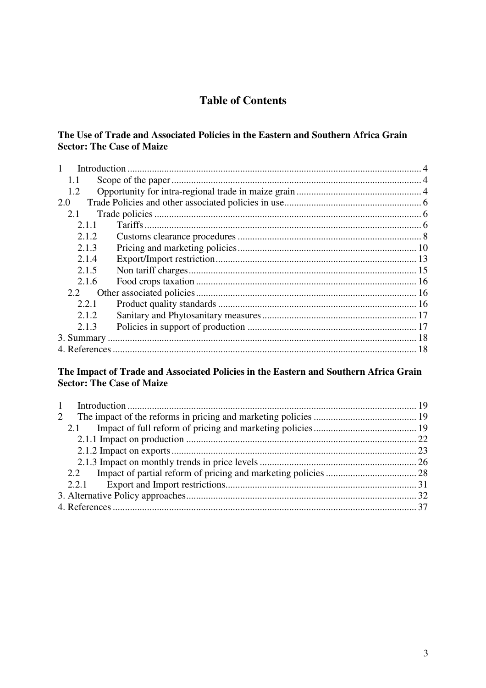## **Table of Contents**

### The Use of Trade and Associated Policies in the Eastern and Southern Africa Grain **Sector: The Case of Maize**

| $\mathbf{1}$ |  |
|--------------|--|
| 1.1          |  |
| 1.2          |  |
| 2.0          |  |
| 2.1          |  |
| 2.1.1        |  |
| 2.1.2        |  |
| 2.1.3        |  |
| 2.1.4        |  |
| 2.1.5        |  |
| 2.1.6        |  |
| 2.2          |  |
| 2.2.1        |  |
| 2.1.2.       |  |
| 2.1.3        |  |
|              |  |
|              |  |

### The Impact of Trade and Associated Policies in the Eastern and Southern Africa Grain **Sector: The Case of Maize**

| $2^{\circ}$ |  |
|-------------|--|
|             |  |
|             |  |
|             |  |
|             |  |
|             |  |
|             |  |
|             |  |
|             |  |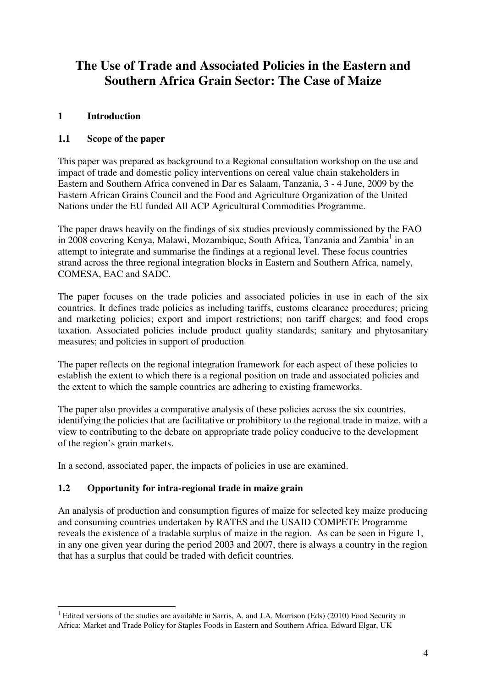# **The Use of Trade and Associated Policies in the Eastern and Southern Africa Grain Sector: The Case of Maize**

## **1 Introduction**

 $\overline{a}$ 

## **1.1 Scope of the paper**

This paper was prepared as background to a Regional consultation workshop on the use and impact of trade and domestic policy interventions on cereal value chain stakeholders in Eastern and Southern Africa convened in Dar es Salaam, Tanzania, 3 - 4 June, 2009 by the Eastern African Grains Council and the Food and Agriculture Organization of the United Nations under the EU funded All ACP Agricultural Commodities Programme.

The paper draws heavily on the findings of six studies previously commissioned by the FAO in 2008 covering Kenya, Malawi, Mozambique, South Africa, Tanzania and Zambia<sup>1</sup> in an attempt to integrate and summarise the findings at a regional level. These focus countries strand across the three regional integration blocks in Eastern and Southern Africa, namely, COMESA, EAC and SADC.

The paper focuses on the trade policies and associated policies in use in each of the six countries. It defines trade policies as including tariffs, customs clearance procedures; pricing and marketing policies; export and import restrictions; non tariff charges; and food crops taxation. Associated policies include product quality standards; sanitary and phytosanitary measures; and policies in support of production

The paper reflects on the regional integration framework for each aspect of these policies to establish the extent to which there is a regional position on trade and associated policies and the extent to which the sample countries are adhering to existing frameworks.

The paper also provides a comparative analysis of these policies across the six countries, identifying the policies that are facilitative or prohibitory to the regional trade in maize, with a view to contributing to the debate on appropriate trade policy conducive to the development of the region's grain markets.

In a second, associated paper, the impacts of policies in use are examined.

### **1.2 Opportunity for intra-regional trade in maize grain**

An analysis of production and consumption figures of maize for selected key maize producing and consuming countries undertaken by RATES and the USAID COMPETE Programme reveals the existence of a tradable surplus of maize in the region. As can be seen in Figure 1, in any one given year during the period 2003 and 2007, there is always a country in the region that has a surplus that could be traded with deficit countries.

<sup>&</sup>lt;sup>1</sup> Edited versions of the studies are available in Sarris, A. and J.A. Morrison (Eds) (2010) Food Security in Africa: Market and Trade Policy for Staples Foods in Eastern and Southern Africa. Edward Elgar, UK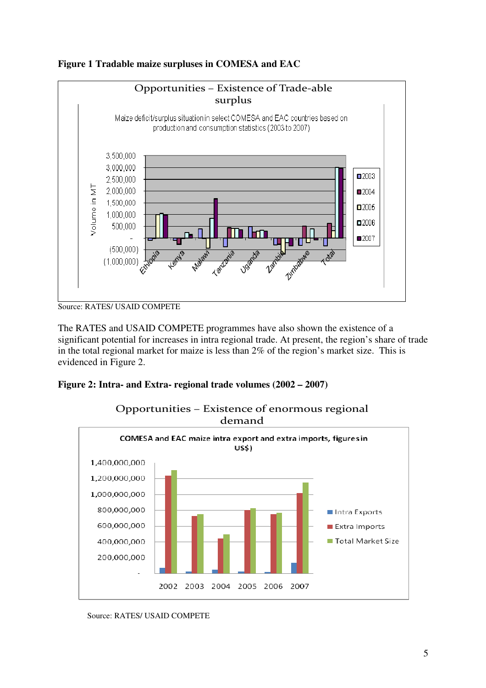

**Figure 1 Tradable maize surpluses in COMESA and EAC**

The RATES and USAID COMPETE programmes have also shown the existence of a significant potential for increases in intra regional trade. At present, the region's share of trade in the total regional market for maize is less than 2% of the region's market size. This is evidenced in Figure 2.

## **Figure 2: Intra- and Extra- regional trade volumes (2002 – 2007)**



Opportunities – Existence of enormous regional

Source: RATES/ USAID COMPETE

Source: RATES/ USAID COMPETE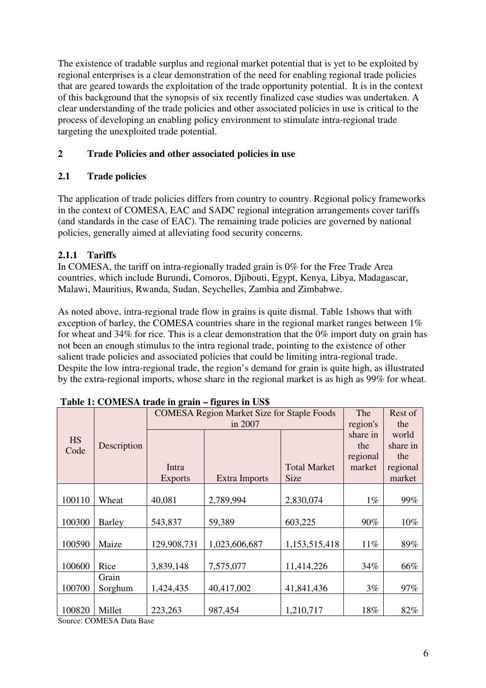The existence of tradable surplus and regional market potential that is yet to be exploited by regional enterprises is a clear demonstration of the need for enabling regional trade policies that are geared towards the exploitation of the trade opportunity potential. It is in the context of this background that the synopsis of six recently finalized case studies was undertaken. A clear understanding of the trade policies and other associated policies in use is critical to the process of developing an enabling policy environment to stimulate intra-regional trade targeting the unexploited trade potential.

## **2 Trade Policies and other associated policies in use**

## **2.1 Trade policies**

The application of trade policies differs from country to country. Regional policy frameworks in the context of COMESA, EAC and SADC regional integration arrangements cover tariffs (and standards in the case of EAC). The remaining trade policies are governed by national policies, generally aimed at alleviating food security concerns.

## **2.1.1 Tariffs**

In COMESA, the tariff on intra-regionally traded grain is 0% for the Free Trade Area countries, which include Burundi, Comoros, Djibouti, Egypt, Kenya, Libya, Madagascar, Malawi, Mauritius, Rwanda, Sudan, Seychelles, Zambia and Zimbabwe.

As noted above, intra-regional trade flow in grains is quite dismal. Table 1shows that with exception of barley, the COMESA countries share in the regional market ranges between 1% for wheat and 34% for rice. This is a clear demonstration that the 0% import duty on grain has not been an enough stimulus to the intra regional trade, pointing to the existence of other salient trade policies and associated policies that could be limiting intra-regional trade. Despite the low intra-regional trade, the region's demand for grain is quite high, as illustrated by the extra-regional imports, whose share in the regional market is as high as 99% for wheat.

|           | <b>COMESA Region Market Size for Staple Foods</b> |                |                      |                     |          | Rest of  |
|-----------|---------------------------------------------------|----------------|----------------------|---------------------|----------|----------|
|           |                                                   |                | region's             | the                 |          |          |
| <b>HS</b> |                                                   |                |                      |                     | share in | world    |
| Code      | Description                                       |                |                      |                     | the      | share in |
|           |                                                   |                |                      |                     | regional | the      |
|           |                                                   | Intra          |                      | <b>Total Market</b> | market   | regional |
|           |                                                   | <b>Exports</b> | <b>Extra Imports</b> | <b>Size</b>         |          | market   |
|           |                                                   |                |                      |                     |          |          |
| 100110    | Wheat                                             | 40,081         | 2,789,994            | 2,830,074           | $1\%$    | 99%      |
|           |                                                   |                |                      |                     |          |          |
| 100300    | <b>Barley</b>                                     | 543,837        | 59,389               | 603,225             | 90%      | 10%      |
|           |                                                   |                |                      |                     |          |          |
| 100590    | Maize                                             | 129,908,731    | 1,023,606,687        | 1,153,515,418       | 11%      | 89%      |
|           |                                                   |                |                      |                     |          |          |
| 100600    | Rice                                              | 3,839,148      | 7,575,077            | 11,414,226          | 34%      | 66%      |
|           | Grain                                             |                |                      |                     |          |          |
| 100700    | Sorghum                                           | 1,424,435      | 40,417,002           | 41,841,436          | 3%       | 97%      |
|           |                                                   |                |                      |                     |          |          |
| 100820    | Millet                                            | 223,263        | 987,454              | 1,210,717           | 18%      | 82%      |
|           |                                                   |                |                      |                     |          |          |

 **Table 1: COMESA trade in grain – figures in US\$** 

Source: COMESA Data Base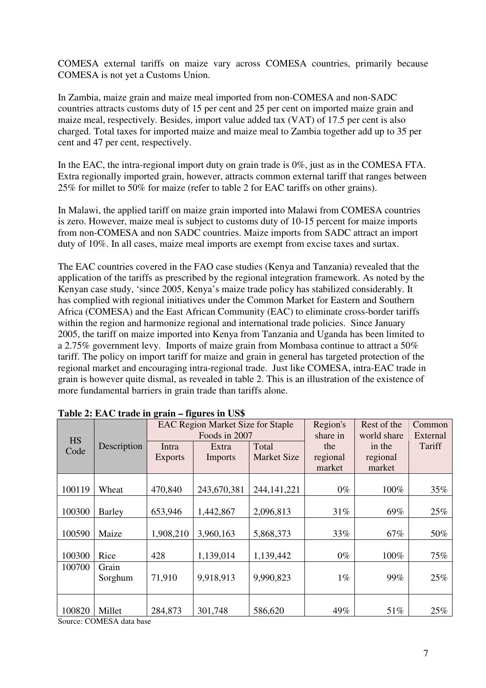COMESA external tariffs on maize vary across COMESA countries, primarily because COMESA is not yet a Customs Union.

In Zambia, maize grain and maize meal imported from non-COMESA and non-SADC countries attracts customs duty of 15 per cent and 25 per cent on imported maize grain and maize meal, respectively. Besides, import value added tax (VAT) of 17.5 per cent is also charged. Total taxes for imported maize and maize meal to Zambia together add up to 35 per cent and 47 per cent, respectively.

In the EAC, the intra-regional import duty on grain trade is 0%, just as in the COMESA FTA. Extra regionally imported grain, however, attracts common external tariff that ranges between 25% for millet to 50% for maize (refer to table 2 for EAC tariffs on other grains).

In Malawi, the applied tariff on maize grain imported into Malawi from COMESA countries is zero. However, maize meal is subject to customs duty of 10-15 percent for maize imports from non-COMESA and non SADC countries. Maize imports from SADC attract an import duty of 10%. In all cases, maize meal imports are exempt from excise taxes and surtax.

The EAC countries covered in the FAO case studies (Kenya and Tanzania) revealed that the application of the tariffs as prescribed by the regional integration framework. As noted by the Kenyan case study, 'since 2005, Kenya's maize trade policy has stabilized considerably. It has complied with regional initiatives under the Common Market for Eastern and Southern Africa (COMESA) and the East African Community (EAC) to eliminate cross-border tariffs within the region and harmonize regional and international trade policies. Since January 2005, the tariff on maize imported into Kenya from Tanzania and Uganda has been limited to a 2.75% government levy. Imports of maize grain from Mombasa continue to attract a 50% tariff. The policy on import tariff for maize and grain in general has targeted protection of the regional market and encouraging intra-regional trade. Just like COMESA, intra-EAC trade in grain is however quite dismal, as revealed in table 2. This is an illustration of the existence of more fundamental barriers in grain trade than tariffs alone.

| <b>HS</b><br>Code | Description      | 0<br>Intra<br><b>Exports</b> | <b>EAC Region Market Size for Staple</b><br>Foods in 2007<br>Extra<br><b>Imports</b> | Total<br><b>Market Size</b> | Region's<br>share in<br>the<br>regional<br>market | Rest of the<br>world share<br>in the<br>regional<br>market | Common<br>External<br>Tariff |
|-------------------|------------------|------------------------------|--------------------------------------------------------------------------------------|-----------------------------|---------------------------------------------------|------------------------------------------------------------|------------------------------|
| 100119            | Wheat            | 470,840                      | 243,670,381                                                                          | 244, 141, 221               | $0\%$                                             | 100%                                                       | 35%                          |
| 100300            | <b>Barley</b>    | 653,946                      | 1,442,867                                                                            | 2,096,813                   | 31%                                               | 69%                                                        | 25%                          |
| 100590            | Maize            | 1,908,210                    | 3,960,163                                                                            | 5,868,373                   | 33%                                               | 67%                                                        | 50%                          |
| 100300            | Rice             | 428                          | 1,139,014                                                                            | 1,139,442                   | $0\%$                                             | 100%                                                       | 75%                          |
| 100700            | Grain<br>Sorghum | 71,910                       | 9,918,913                                                                            | 9,990,823                   | $1\%$                                             | 99%                                                        | 25%                          |
| 100820            | Millet           | 284,873                      | 301,748                                                                              | 586,620                     | 49%                                               | 51%                                                        | 25%                          |

**Table 2: EAC trade in grain – figures in US\$** 

Source: COMESA data base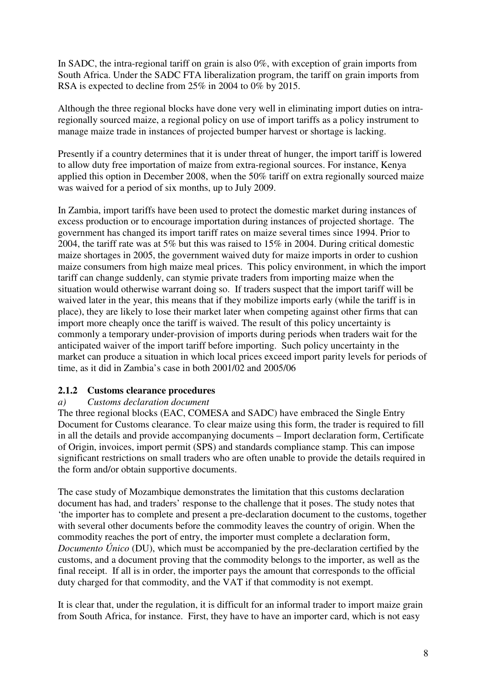In SADC, the intra-regional tariff on grain is also 0%, with exception of grain imports from South Africa. Under the SADC FTA liberalization program, the tariff on grain imports from RSA is expected to decline from 25% in 2004 to 0% by 2015.

Although the three regional blocks have done very well in eliminating import duties on intraregionally sourced maize, a regional policy on use of import tariffs as a policy instrument to manage maize trade in instances of projected bumper harvest or shortage is lacking.

Presently if a country determines that it is under threat of hunger, the import tariff is lowered to allow duty free importation of maize from extra-regional sources. For instance, Kenya applied this option in December 2008, when the 50% tariff on extra regionally sourced maize was waived for a period of six months, up to July 2009.

In Zambia, import tariffs have been used to protect the domestic market during instances of excess production or to encourage importation during instances of projected shortage. The government has changed its import tariff rates on maize several times since 1994. Prior to 2004, the tariff rate was at 5% but this was raised to 15% in 2004. During critical domestic maize shortages in 2005, the government waived duty for maize imports in order to cushion maize consumers from high maize meal prices. This policy environment, in which the import tariff can change suddenly, can stymie private traders from importing maize when the situation would otherwise warrant doing so. If traders suspect that the import tariff will be waived later in the year, this means that if they mobilize imports early (while the tariff is in place), they are likely to lose their market later when competing against other firms that can import more cheaply once the tariff is waived. The result of this policy uncertainty is commonly a temporary under-provision of imports during periods when traders wait for the anticipated waiver of the import tariff before importing. Such policy uncertainty in the market can produce a situation in which local prices exceed import parity levels for periods of time, as it did in Zambia's case in both 2001/02 and 2005/06

### **2.1.2 Customs clearance procedures**

### *a) Customs declaration document*

The three regional blocks (EAC, COMESA and SADC) have embraced the Single Entry Document for Customs clearance. To clear maize using this form, the trader is required to fill in all the details and provide accompanying documents – Import declaration form, Certificate of Origin, invoices, import permit (SPS) and standards compliance stamp. This can impose significant restrictions on small traders who are often unable to provide the details required in the form and/or obtain supportive documents.

The case study of Mozambique demonstrates the limitation that this customs declaration document has had, and traders' response to the challenge that it poses. The study notes that 'the importer has to complete and present a pre-declaration document to the customs, together with several other documents before the commodity leaves the country of origin. When the commodity reaches the port of entry, the importer must complete a declaration form, *Documento Único* (DU), which must be accompanied by the pre-declaration certified by the customs, and a document proving that the commodity belongs to the importer, as well as the final receipt. If all is in order, the importer pays the amount that corresponds to the official duty charged for that commodity, and the VAT if that commodity is not exempt.

It is clear that, under the regulation, it is difficult for an informal trader to import maize grain from South Africa, for instance. First, they have to have an importer card, which is not easy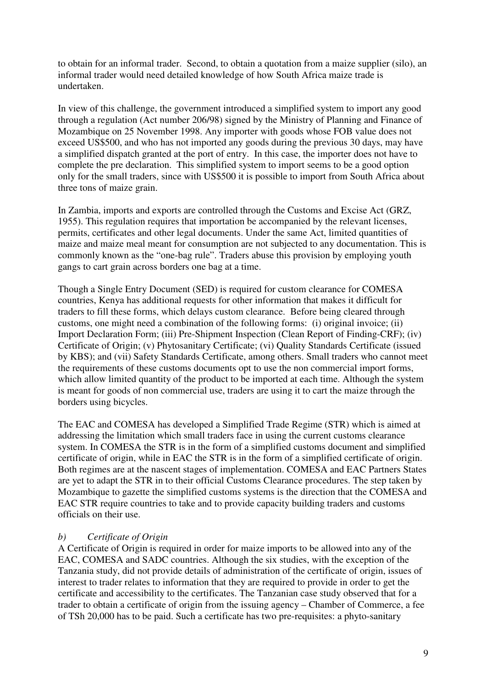to obtain for an informal trader. Second, to obtain a quotation from a maize supplier (silo), an informal trader would need detailed knowledge of how South Africa maize trade is undertaken.

In view of this challenge, the government introduced a simplified system to import any good through a regulation (Act number 206/98) signed by the Ministry of Planning and Finance of Mozambique on 25 November 1998. Any importer with goods whose FOB value does not exceed US\$500, and who has not imported any goods during the previous 30 days, may have a simplified dispatch granted at the port of entry. In this case, the importer does not have to complete the pre declaration. This simplified system to import seems to be a good option only for the small traders, since with US\$500 it is possible to import from South Africa about three tons of maize grain.

In Zambia, imports and exports are controlled through the Customs and Excise Act (GRZ, 1955). This regulation requires that importation be accompanied by the relevant licenses, permits, certificates and other legal documents. Under the same Act, limited quantities of maize and maize meal meant for consumption are not subjected to any documentation. This is commonly known as the "one-bag rule". Traders abuse this provision by employing youth gangs to cart grain across borders one bag at a time.

Though a Single Entry Document (SED) is required for custom clearance for COMESA countries, Kenya has additional requests for other information that makes it difficult for traders to fill these forms, which delays custom clearance. Before being cleared through customs, one might need a combination of the following forms: (i) original invoice; (ii) Import Declaration Form; (iii) Pre-Shipment Inspection (Clean Report of Finding-CRF); (iv) Certificate of Origin; (v) Phytosanitary Certificate; (vi) Quality Standards Certificate (issued by KBS); and (vii) Safety Standards Certificate, among others. Small traders who cannot meet the requirements of these customs documents opt to use the non commercial import forms, which allow limited quantity of the product to be imported at each time. Although the system is meant for goods of non commercial use, traders are using it to cart the maize through the borders using bicycles.

The EAC and COMESA has developed a Simplified Trade Regime (STR) which is aimed at addressing the limitation which small traders face in using the current customs clearance system. In COMESA the STR is in the form of a simplified customs document and simplified certificate of origin, while in EAC the STR is in the form of a simplified certificate of origin. Both regimes are at the nascent stages of implementation. COMESA and EAC Partners States are yet to adapt the STR in to their official Customs Clearance procedures. The step taken by Mozambique to gazette the simplified customs systems is the direction that the COMESA and EAC STR require countries to take and to provide capacity building traders and customs officials on their use.

#### *b) Certificate of Origin*

A Certificate of Origin is required in order for maize imports to be allowed into any of the EAC, COMESA and SADC countries. Although the six studies, with the exception of the Tanzania study, did not provide details of administration of the certificate of origin, issues of interest to trader relates to information that they are required to provide in order to get the certificate and accessibility to the certificates. The Tanzanian case study observed that for a trader to obtain a certificate of origin from the issuing agency – Chamber of Commerce, a fee of TSh 20,000 has to be paid. Such a certificate has two pre-requisites: a phyto-sanitary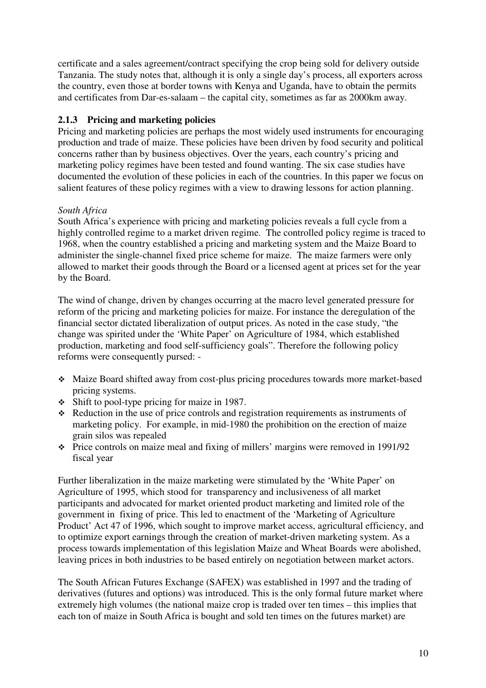certificate and a sales agreement/contract specifying the crop being sold for delivery outside Tanzania. The study notes that, although it is only a single day's process, all exporters across the country, even those at border towns with Kenya and Uganda, have to obtain the permits and certificates from Dar-es-salaam – the capital city, sometimes as far as 2000km away.

## **2.1.3 Pricing and marketing policies**

Pricing and marketing policies are perhaps the most widely used instruments for encouraging production and trade of maize. These policies have been driven by food security and political concerns rather than by business objectives. Over the years, each country's pricing and marketing policy regimes have been tested and found wanting. The six case studies have documented the evolution of these policies in each of the countries. In this paper we focus on salient features of these policy regimes with a view to drawing lessons for action planning.

## *South Africa*

South Africa's experience with pricing and marketing policies reveals a full cycle from a highly controlled regime to a market driven regime. The controlled policy regime is traced to 1968, when the country established a pricing and marketing system and the Maize Board to administer the single-channel fixed price scheme for maize. The maize farmers were only allowed to market their goods through the Board or a licensed agent at prices set for the year by the Board.

The wind of change, driven by changes occurring at the macro level generated pressure for reform of the pricing and marketing policies for maize. For instance the deregulation of the financial sector dictated liberalization of output prices. As noted in the case study, "the change was spirited under the 'White Paper' on Agriculture of 1984, which established production, marketing and food self-sufficiency goals". Therefore the following policy reforms were consequently pursed: -

- Maize Board shifted away from cost-plus pricing procedures towards more market-based pricing systems.
- Shift to pool-type pricing for maize in 1987.
- Reduction in the use of price controls and registration requirements as instruments of marketing policy. For example, in mid-1980 the prohibition on the erection of maize grain silos was repealed
- Price controls on maize meal and fixing of millers' margins were removed in 1991/92 fiscal year

Further liberalization in the maize marketing were stimulated by the 'White Paper' on Agriculture of 1995, which stood for transparency and inclusiveness of all market participants and advocated for market oriented product marketing and limited role of the government in fixing of price. This led to enactment of the 'Marketing of Agriculture Product' Act 47 of 1996, which sought to improve market access, agricultural efficiency, and to optimize export earnings through the creation of market-driven marketing system. As a process towards implementation of this legislation Maize and Wheat Boards were abolished, leaving prices in both industries to be based entirely on negotiation between market actors.

The South African Futures Exchange (SAFEX) was established in 1997 and the trading of derivatives (futures and options) was introduced. This is the only formal future market where extremely high volumes (the national maize crop is traded over ten times – this implies that each ton of maize in South Africa is bought and sold ten times on the futures market) are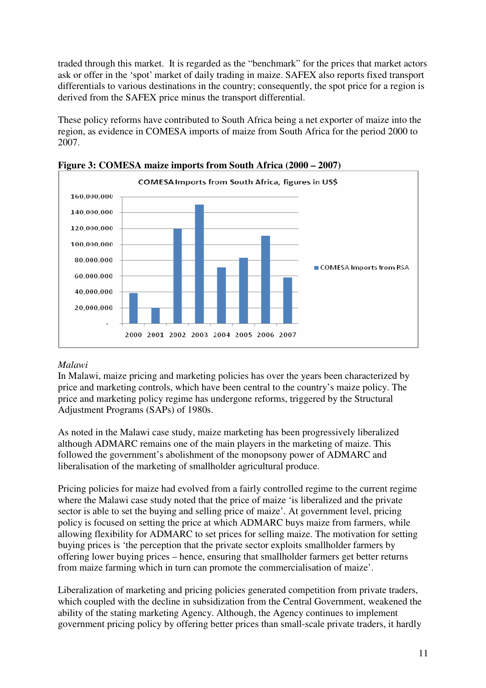traded through this market. It is regarded as the "benchmark" for the prices that market actors ask or offer in the 'spot' market of daily trading in maize. SAFEX also reports fixed transport differentials to various destinations in the country; consequently, the spot price for a region is derived from the SAFEX price minus the transport differential.

These policy reforms have contributed to South Africa being a net exporter of maize into the region, as evidence in COMESA imports of maize from South Africa for the period 2000 to 2007.





### *Malawi*

In Malawi, maize pricing and marketing policies has over the years been characterized by price and marketing controls, which have been central to the country's maize policy. The price and marketing policy regime has undergone reforms, triggered by the Structural Adjustment Programs (SAPs) of 1980s.

As noted in the Malawi case study, maize marketing has been progressively liberalized although ADMARC remains one of the main players in the marketing of maize. This followed the government's abolishment of the monopsony power of ADMARC and liberalisation of the marketing of smallholder agricultural produce.

Pricing policies for maize had evolved from a fairly controlled regime to the current regime where the Malawi case study noted that the price of maize 'is liberalized and the private sector is able to set the buying and selling price of maize'. At government level, pricing policy is focused on setting the price at which ADMARC buys maize from farmers, while allowing flexibility for ADMARC to set prices for selling maize. The motivation for setting buying prices is 'the perception that the private sector exploits smallholder farmers by offering lower buying prices – hence, ensuring that smallholder farmers get better returns from maize farming which in turn can promote the commercialisation of maize'.

Liberalization of marketing and pricing policies generated competition from private traders, which coupled with the decline in subsidization from the Central Government, weakened the ability of the stating marketing Agency. Although, the Agency continues to implement government pricing policy by offering better prices than small-scale private traders, it hardly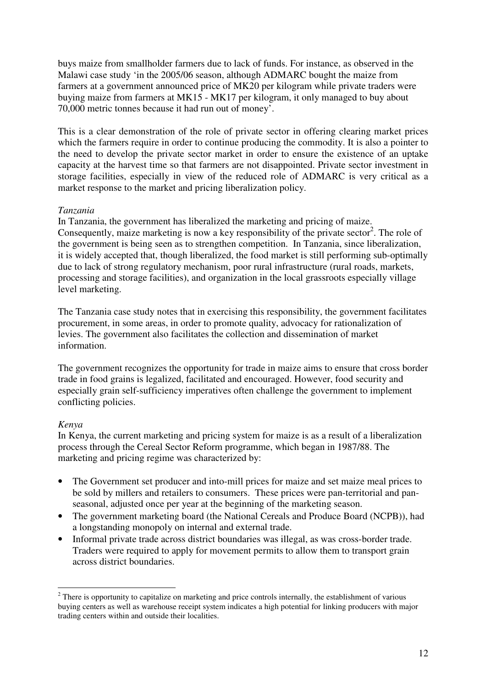buys maize from smallholder farmers due to lack of funds. For instance, as observed in the Malawi case study 'in the 2005/06 season, although ADMARC bought the maize from farmers at a government announced price of MK20 per kilogram while private traders were buying maize from farmers at MK15 - MK17 per kilogram, it only managed to buy about 70,000 metric tonnes because it had run out of money'.

This is a clear demonstration of the role of private sector in offering clearing market prices which the farmers require in order to continue producing the commodity. It is also a pointer to the need to develop the private sector market in order to ensure the existence of an uptake capacity at the harvest time so that farmers are not disappointed. Private sector investment in storage facilities, especially in view of the reduced role of ADMARC is very critical as a market response to the market and pricing liberalization policy.

### *Tanzania*

In Tanzania, the government has liberalized the marketing and pricing of maize. Consequently, maize marketing is now a key responsibility of the private sector<sup>2</sup>. The role of the government is being seen as to strengthen competition. In Tanzania, since liberalization, it is widely accepted that, though liberalized, the food market is still performing sub-optimally due to lack of strong regulatory mechanism, poor rural infrastructure (rural roads, markets, processing and storage facilities), and organization in the local grassroots especially village level marketing.

The Tanzania case study notes that in exercising this responsibility, the government facilitates procurement, in some areas, in order to promote quality, advocacy for rationalization of levies. The government also facilitates the collection and dissemination of market information.

The government recognizes the opportunity for trade in maize aims to ensure that cross border trade in food grains is legalized, facilitated and encouraged. However, food security and especially grain self-sufficiency imperatives often challenge the government to implement conflicting policies.

### *Kenya*

In Kenya, the current marketing and pricing system for maize is as a result of a liberalization process through the Cereal Sector Reform programme, which began in 1987/88. The marketing and pricing regime was characterized by:

- The Government set producer and into-mill prices for maize and set maize meal prices to be sold by millers and retailers to consumers. These prices were pan-territorial and panseasonal, adjusted once per year at the beginning of the marketing season.
- The government marketing board (the National Cereals and Produce Board (NCPB)), had a longstanding monopoly on internal and external trade.
- Informal private trade across district boundaries was illegal, as was cross-border trade. Traders were required to apply for movement permits to allow them to transport grain across district boundaries.

<sup>&</sup>lt;sup>2</sup> There is opportunity to capitalize on marketing and price controls internally, the establishment of various buying centers as well as warehouse receipt system indicates a high potential for linking producers with major trading centers within and outside their localities.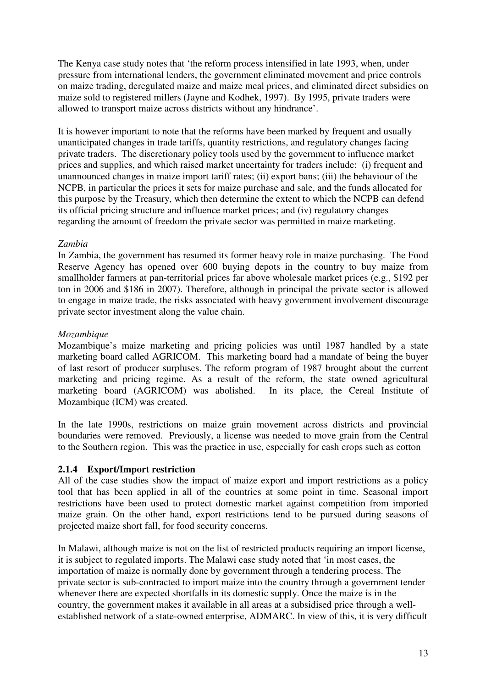The Kenya case study notes that 'the reform process intensified in late 1993, when, under pressure from international lenders, the government eliminated movement and price controls on maize trading, deregulated maize and maize meal prices, and eliminated direct subsidies on maize sold to registered millers (Jayne and Kodhek, 1997). By 1995, private traders were allowed to transport maize across districts without any hindrance'.

It is however important to note that the reforms have been marked by frequent and usually unanticipated changes in trade tariffs, quantity restrictions, and regulatory changes facing private traders. The discretionary policy tools used by the government to influence market prices and supplies, and which raised market uncertainty for traders include: (i) frequent and unannounced changes in maize import tariff rates; (ii) export bans; (iii) the behaviour of the NCPB, in particular the prices it sets for maize purchase and sale, and the funds allocated for this purpose by the Treasury, which then determine the extent to which the NCPB can defend its official pricing structure and influence market prices; and (iv) regulatory changes regarding the amount of freedom the private sector was permitted in maize marketing.

## *Zambia*

In Zambia, the government has resumed its former heavy role in maize purchasing. The Food Reserve Agency has opened over 600 buying depots in the country to buy maize from smallholder farmers at pan-territorial prices far above wholesale market prices (e.g., \$192 per ton in 2006 and \$186 in 2007). Therefore, although in principal the private sector is allowed to engage in maize trade, the risks associated with heavy government involvement discourage private sector investment along the value chain.

### *Mozambique*

Mozambique's maize marketing and pricing policies was until 1987 handled by a state marketing board called AGRICOM. This marketing board had a mandate of being the buyer of last resort of producer surpluses. The reform program of 1987 brought about the current marketing and pricing regime. As a result of the reform, the state owned agricultural marketing board (AGRICOM) was abolished. In its place, the Cereal Institute of Mozambique (ICM) was created.

In the late 1990s, restrictions on maize grain movement across districts and provincial boundaries were removed. Previously, a license was needed to move grain from the Central to the Southern region. This was the practice in use, especially for cash crops such as cotton

## **2.1.4 Export/Import restriction**

All of the case studies show the impact of maize export and import restrictions as a policy tool that has been applied in all of the countries at some point in time. Seasonal import restrictions have been used to protect domestic market against competition from imported maize grain. On the other hand, export restrictions tend to be pursued during seasons of projected maize short fall, for food security concerns.

In Malawi, although maize is not on the list of restricted products requiring an import license, it is subject to regulated imports. The Malawi case study noted that 'in most cases, the importation of maize is normally done by government through a tendering process. The private sector is sub-contracted to import maize into the country through a government tender whenever there are expected shortfalls in its domestic supply. Once the maize is in the country, the government makes it available in all areas at a subsidised price through a wellestablished network of a state-owned enterprise, ADMARC. In view of this, it is very difficult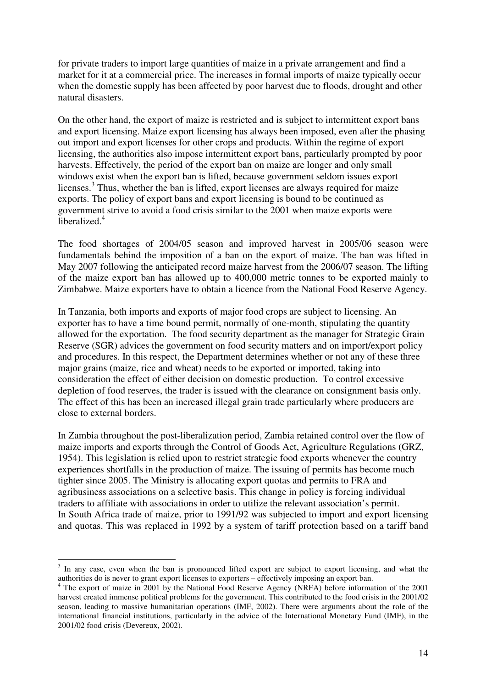for private traders to import large quantities of maize in a private arrangement and find a market for it at a commercial price. The increases in formal imports of maize typically occur when the domestic supply has been affected by poor harvest due to floods, drought and other natural disasters.

On the other hand, the export of maize is restricted and is subject to intermittent export bans and export licensing. Maize export licensing has always been imposed, even after the phasing out import and export licenses for other crops and products. Within the regime of export licensing, the authorities also impose intermittent export bans, particularly prompted by poor harvests. Effectively, the period of the export ban on maize are longer and only small windows exist when the export ban is lifted, because government seldom issues export licenses. $3$  Thus, whether the ban is lifted, export licenses are always required for maize exports. The policy of export bans and export licensing is bound to be continued as government strive to avoid a food crisis similar to the 2001 when maize exports were liberalized.<sup>4</sup>

The food shortages of 2004/05 season and improved harvest in 2005/06 season were fundamentals behind the imposition of a ban on the export of maize. The ban was lifted in May 2007 following the anticipated record maize harvest from the 2006/07 season. The lifting of the maize export ban has allowed up to 400,000 metric tonnes to be exported mainly to Zimbabwe. Maize exporters have to obtain a licence from the National Food Reserve Agency.

In Tanzania, both imports and exports of major food crops are subject to licensing. An exporter has to have a time bound permit, normally of one-month, stipulating the quantity allowed for the exportation. The food security department as the manager for Strategic Grain Reserve (SGR) advices the government on food security matters and on import/export policy and procedures. In this respect, the Department determines whether or not any of these three major grains (maize, rice and wheat) needs to be exported or imported, taking into consideration the effect of either decision on domestic production. To control excessive depletion of food reserves, the trader is issued with the clearance on consignment basis only. The effect of this has been an increased illegal grain trade particularly where producers are close to external borders.

In Zambia throughout the post-liberalization period, Zambia retained control over the flow of maize imports and exports through the Control of Goods Act, Agriculture Regulations (GRZ, 1954). This legislation is relied upon to restrict strategic food exports whenever the country experiences shortfalls in the production of maize. The issuing of permits has become much tighter since 2005. The Ministry is allocating export quotas and permits to FRA and agribusiness associations on a selective basis. This change in policy is forcing individual traders to affiliate with associations in order to utilize the relevant association's permit. In South Africa trade of maize, prior to 1991/92 was subjected to import and export licensing and quotas. This was replaced in 1992 by a system of tariff protection based on a tariff band

 $\overline{a}$ 

<sup>&</sup>lt;sup>3</sup> In any case, even when the ban is pronounced lifted export are subject to export licensing, and what the authorities do is never to grant export licenses to exporters – effectively imposing an export ban.

<sup>&</sup>lt;sup>4</sup> The export of maize in 2001 by the National Food Reserve Agency (NRFA) before information of the 2001 harvest created immense political problems for the government. This contributed to the food crisis in the 2001/02 season, leading to massive humanitarian operations (IMF, 2002). There were arguments about the role of the international financial institutions, particularly in the advice of the International Monetary Fund (IMF), in the 2001/02 food crisis (Devereux, 2002).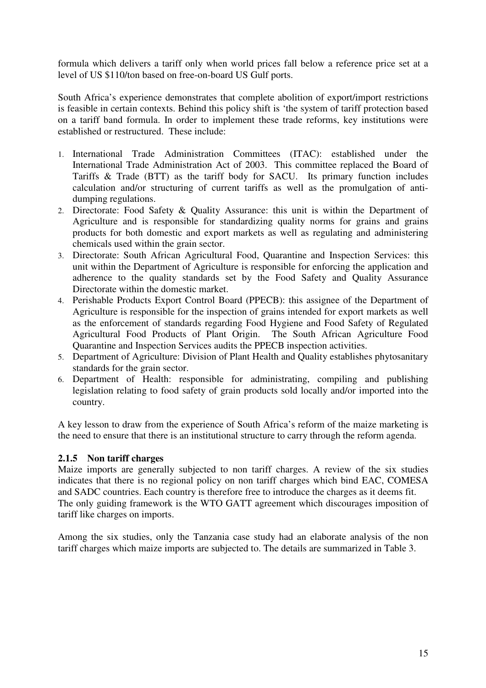formula which delivers a tariff only when world prices fall below a reference price set at a level of US \$110/ton based on free-on-board US Gulf ports.

South Africa's experience demonstrates that complete abolition of export/import restrictions is feasible in certain contexts. Behind this policy shift is 'the system of tariff protection based on a tariff band formula. In order to implement these trade reforms, key institutions were established or restructured. These include:

- 1. International Trade Administration Committees (ITAC): established under the International Trade Administration Act of 2003. This committee replaced the Board of Tariffs & Trade (BTT) as the tariff body for SACU. Its primary function includes calculation and/or structuring of current tariffs as well as the promulgation of antidumping regulations.
- 2. Directorate: Food Safety & Quality Assurance: this unit is within the Department of Agriculture and is responsible for standardizing quality norms for grains and grains products for both domestic and export markets as well as regulating and administering chemicals used within the grain sector.
- 3. Directorate: South African Agricultural Food, Quarantine and Inspection Services: this unit within the Department of Agriculture is responsible for enforcing the application and adherence to the quality standards set by the Food Safety and Quality Assurance Directorate within the domestic market.
- 4. Perishable Products Export Control Board (PPECB): this assignee of the Department of Agriculture is responsible for the inspection of grains intended for export markets as well as the enforcement of standards regarding Food Hygiene and Food Safety of Regulated Agricultural Food Products of Plant Origin. The South African Agriculture Food Quarantine and Inspection Services audits the PPECB inspection activities.
- 5. Department of Agriculture: Division of Plant Health and Quality establishes phytosanitary standards for the grain sector.
- 6. Department of Health: responsible for administrating, compiling and publishing legislation relating to food safety of grain products sold locally and/or imported into the country.

A key lesson to draw from the experience of South Africa's reform of the maize marketing is the need to ensure that there is an institutional structure to carry through the reform agenda.

### **2.1.5 Non tariff charges**

Maize imports are generally subjected to non tariff charges. A review of the six studies indicates that there is no regional policy on non tariff charges which bind EAC, COMESA and SADC countries. Each country is therefore free to introduce the charges as it deems fit. The only guiding framework is the WTO GATT agreement which discourages imposition of tariff like charges on imports.

Among the six studies, only the Tanzania case study had an elaborate analysis of the non tariff charges which maize imports are subjected to. The details are summarized in Table 3.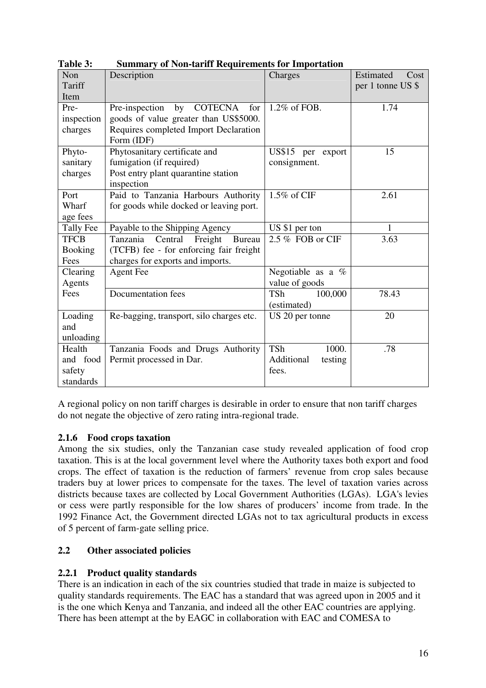| Non              | Description                                     | Charges               | Estimated<br>Cost |
|------------------|-------------------------------------------------|-----------------------|-------------------|
| Tariff           |                                                 |                       | per 1 tonne US \$ |
| Item             |                                                 |                       |                   |
| Pre-             | by COTECNA<br>Pre-inspection<br>for             | 1.2% of FOB.          | 1.74              |
| inspection       | goods of value greater than US\$5000.           |                       |                   |
| charges          | Requires completed Import Declaration           |                       |                   |
|                  | Form (IDF)                                      |                       |                   |
| Phyto-           | Phytosanitary certificate and                   | US\$15 per export     | 15                |
| sanitary         | fumigation (if required)                        | consignment.          |                   |
| charges          | Post entry plant quarantine station             |                       |                   |
|                  | inspection                                      |                       |                   |
| Port             | Paid to Tanzania Harbours Authority             | 1.5% of CIF           | 2.61              |
| Wharf            | for goods while docked or leaving port.         |                       |                   |
| age fees         |                                                 |                       |                   |
| <b>Tally Fee</b> | Payable to the Shipping Agency                  | US \$1 per ton        | 1                 |
| <b>TFCB</b>      | Tanzania<br>Central<br>Freight<br><b>Bureau</b> | 2.5 % FOB or CIF      | 3.63              |
| <b>Booking</b>   | (TCFB) fee - for enforcing fair freight         |                       |                   |
| Fees             | charges for exports and imports.                |                       |                   |
| Clearing         | <b>Agent Fee</b>                                | Negotiable as a $%$   |                   |
| Agents           |                                                 | value of goods        |                   |
| Fees             | Documentation fees                              | 100,000<br><b>TSh</b> | 78.43             |
|                  |                                                 | (estimated)           |                   |
| Loading          | Re-bagging, transport, silo charges etc.        | US 20 per tonne       | 20                |
| and              |                                                 |                       |                   |
| unloading        |                                                 |                       |                   |
| Health           | Tanzania Foods and Drugs Authority              | <b>TSh</b><br>1000.   | .78               |
| and food         | Permit processed in Dar.                        | Additional<br>testing |                   |
| safety           |                                                 | fees.                 |                   |
| standards        |                                                 |                       |                   |

**Table 3: Summary of Non-tariff Requirements for Importation** 

A regional policy on non tariff charges is desirable in order to ensure that non tariff charges do not negate the objective of zero rating intra-regional trade.

### **2.1.6 Food crops taxation**

Among the six studies, only the Tanzanian case study revealed application of food crop taxation. This is at the local government level where the Authority taxes both export and food crops. The effect of taxation is the reduction of farmers' revenue from crop sales because traders buy at lower prices to compensate for the taxes. The level of taxation varies across districts because taxes are collected by Local Government Authorities (LGAs). LGA's levies or cess were partly responsible for the low shares of producers' income from trade. In the 1992 Finance Act, the Government directed LGAs not to tax agricultural products in excess of 5 percent of farm-gate selling price.

### **2.2 Other associated policies**

### **2.2.1 Product quality standards**

There is an indication in each of the six countries studied that trade in maize is subjected to quality standards requirements. The EAC has a standard that was agreed upon in 2005 and it is the one which Kenya and Tanzania, and indeed all the other EAC countries are applying. There has been attempt at the by EAGC in collaboration with EAC and COMESA to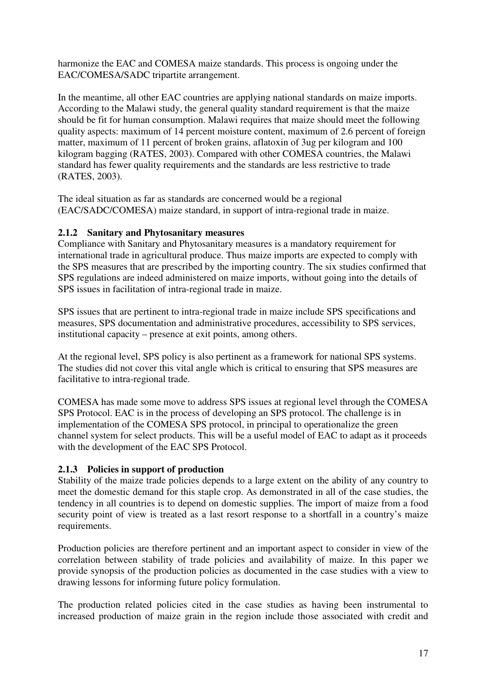harmonize the EAC and COMESA maize standards. This process is ongoing under the EAC/COMESA/SADC tripartite arrangement.

In the meantime, all other EAC countries are applying national standards on maize imports. According to the Malawi study, the general quality standard requirement is that the maize should be fit for human consumption. Malawi requires that maize should meet the following quality aspects: maximum of 14 percent moisture content, maximum of 2.6 percent of foreign matter, maximum of 11 percent of broken grains, aflatoxin of 3ug per kilogram and 100 kilogram bagging (RATES, 2003). Compared with other COMESA countries, the Malawi standard has fewer quality requirements and the standards are less restrictive to trade (RATES, 2003).

The ideal situation as far as standards are concerned would be a regional (EAC/SADC/COMESA) maize standard, in support of intra-regional trade in maize.

### **2.1.2 Sanitary and Phytosanitary measures**

Compliance with Sanitary and Phytosanitary measures is a mandatory requirement for international trade in agricultural produce. Thus maize imports are expected to comply with the SPS measures that are prescribed by the importing country. The six studies confirmed that SPS regulations are indeed administered on maize imports, without going into the details of SPS issues in facilitation of intra-regional trade in maize.

SPS issues that are pertinent to intra-regional trade in maize include SPS specifications and measures, SPS documentation and administrative procedures, accessibility to SPS services, institutional capacity – presence at exit points, among others.

At the regional level, SPS policy is also pertinent as a framework for national SPS systems. The studies did not cover this vital angle which is critical to ensuring that SPS measures are facilitative to intra-regional trade.

COMESA has made some move to address SPS issues at regional level through the COMESA SPS Protocol. EAC is in the process of developing an SPS protocol. The challenge is in implementation of the COMESA SPS protocol, in principal to operationalize the green channel system for select products. This will be a useful model of EAC to adapt as it proceeds with the development of the EAC SPS Protocol.

### **2.1.3 Policies in support of production**

Stability of the maize trade policies depends to a large extent on the ability of any country to meet the domestic demand for this staple crop. As demonstrated in all of the case studies, the tendency in all countries is to depend on domestic supplies. The import of maize from a food security point of view is treated as a last resort response to a shortfall in a country's maize requirements.

Production policies are therefore pertinent and an important aspect to consider in view of the correlation between stability of trade policies and availability of maize. In this paper we provide synopsis of the production policies as documented in the case studies with a view to drawing lessons for informing future policy formulation.

The production related policies cited in the case studies as having been instrumental to increased production of maize grain in the region include those associated with credit and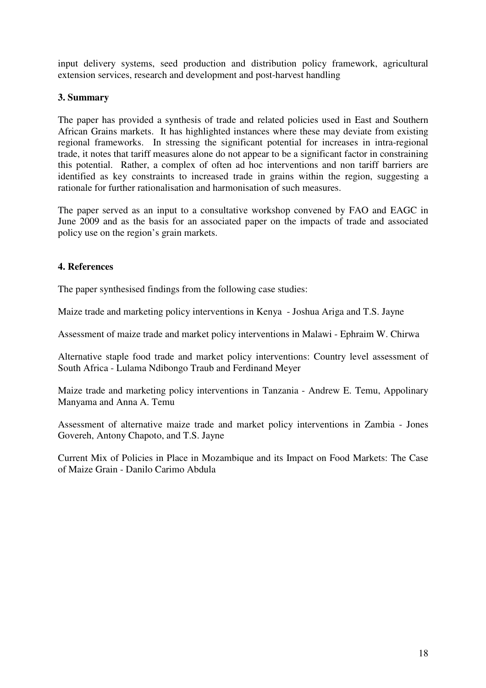input delivery systems, seed production and distribution policy framework, agricultural extension services, research and development and post-harvest handling

### **3. Summary**

The paper has provided a synthesis of trade and related policies used in East and Southern African Grains markets. It has highlighted instances where these may deviate from existing regional frameworks. In stressing the significant potential for increases in intra-regional trade, it notes that tariff measures alone do not appear to be a significant factor in constraining this potential. Rather, a complex of often ad hoc interventions and non tariff barriers are identified as key constraints to increased trade in grains within the region, suggesting a rationale for further rationalisation and harmonisation of such measures.

The paper served as an input to a consultative workshop convened by FAO and EAGC in June 2009 and as the basis for an associated paper on the impacts of trade and associated policy use on the region's grain markets.

### **4. References**

The paper synthesised findings from the following case studies:

Maize trade and marketing policy interventions in Kenya - Joshua Ariga and T.S. Jayne

Assessment of maize trade and market policy interventions in Malawi - Ephraim W. Chirwa

Alternative staple food trade and market policy interventions: Country level assessment of South Africa - Lulama Ndibongo Traub and Ferdinand Meyer

Maize trade and marketing policy interventions in Tanzania - Andrew E. Temu, Appolinary Manyama and Anna A. Temu

Assessment of alternative maize trade and market policy interventions in Zambia - Jones Govereh, Antony Chapoto, and T.S. Jayne

Current Mix of Policies in Place in Mozambique and its Impact on Food Markets: The Case of Maize Grain - Danilo Carimo Abdula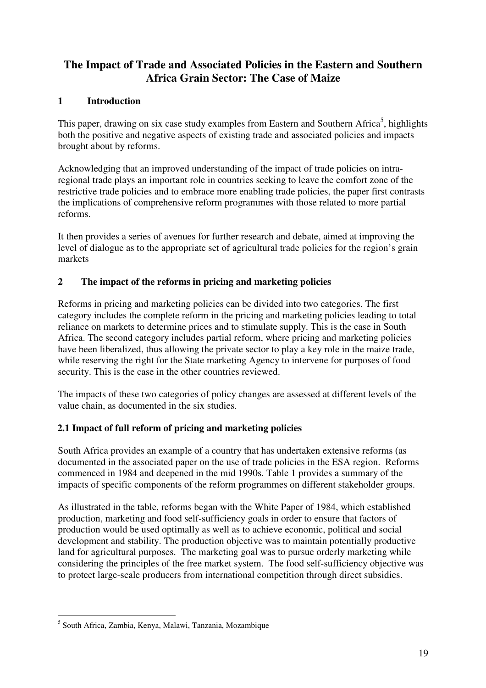## **The Impact of Trade and Associated Policies in the Eastern and Southern Africa Grain Sector: The Case of Maize**

## **1 Introduction**

This paper, drawing on six case study examples from Eastern and Southern Africa<sup>5</sup>, highlights both the positive and negative aspects of existing trade and associated policies and impacts brought about by reforms.

Acknowledging that an improved understanding of the impact of trade policies on intraregional trade plays an important role in countries seeking to leave the comfort zone of the restrictive trade policies and to embrace more enabling trade policies, the paper first contrasts the implications of comprehensive reform programmes with those related to more partial reforms.

It then provides a series of avenues for further research and debate, aimed at improving the level of dialogue as to the appropriate set of agricultural trade policies for the region's grain markets

## **2 The impact of the reforms in pricing and marketing policies**

Reforms in pricing and marketing policies can be divided into two categories. The first category includes the complete reform in the pricing and marketing policies leading to total reliance on markets to determine prices and to stimulate supply. This is the case in South Africa. The second category includes partial reform, where pricing and marketing policies have been liberalized, thus allowing the private sector to play a key role in the maize trade, while reserving the right for the State marketing Agency to intervene for purposes of food security. This is the case in the other countries reviewed.

The impacts of these two categories of policy changes are assessed at different levels of the value chain, as documented in the six studies.

## **2.1 Impact of full reform of pricing and marketing policies**

South Africa provides an example of a country that has undertaken extensive reforms (as documented in the associated paper on the use of trade policies in the ESA region. Reforms commenced in 1984 and deepened in the mid 1990s. Table 1 provides a summary of the impacts of specific components of the reform programmes on different stakeholder groups.

As illustrated in the table, reforms began with the White Paper of 1984, which established production, marketing and food self-sufficiency goals in order to ensure that factors of production would be used optimally as well as to achieve economic, political and social development and stability. The production objective was to maintain potentially productive land for agricultural purposes. The marketing goal was to pursue orderly marketing while considering the principles of the free market system. The food self-sufficiency objective was to protect large-scale producers from international competition through direct subsidies.

 5 South Africa, Zambia, Kenya, Malawi, Tanzania, Mozambique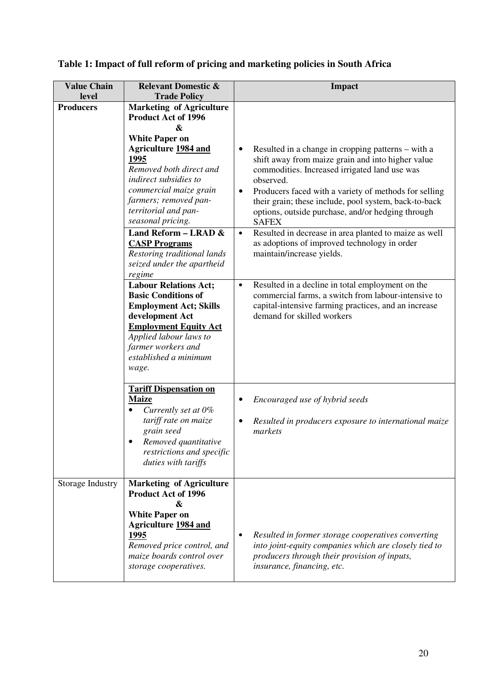|  |  |  | Table 1: Impact of full reform of pricing and marketing policies in South Africa |  |  |
|--|--|--|----------------------------------------------------------------------------------|--|--|
|  |  |  |                                                                                  |  |  |

| <b>Value Chain</b>        | <b>Relevant Domestic &amp;</b>                                                                                                                                                                                                                                                                                                                                                                                                                                                                                                                                                                                                         | <b>Impact</b>                                                                                                                                                                                                                                                                                                                                                                                                                                                                                                                                                                                                                                                                                                                              |
|---------------------------|----------------------------------------------------------------------------------------------------------------------------------------------------------------------------------------------------------------------------------------------------------------------------------------------------------------------------------------------------------------------------------------------------------------------------------------------------------------------------------------------------------------------------------------------------------------------------------------------------------------------------------------|--------------------------------------------------------------------------------------------------------------------------------------------------------------------------------------------------------------------------------------------------------------------------------------------------------------------------------------------------------------------------------------------------------------------------------------------------------------------------------------------------------------------------------------------------------------------------------------------------------------------------------------------------------------------------------------------------------------------------------------------|
| level<br><b>Producers</b> | <b>Trade Policy</b><br><b>Marketing of Agriculture</b><br><b>Product Act of 1996</b><br>&<br><b>White Paper on</b><br><b>Agriculture 1984 and</b><br>1995<br>Removed both direct and<br>indirect subsidies to<br>commercial maize grain<br>farmers; removed pan-<br>territorial and pan-<br>seasonal pricing.<br>Land Reform - LRAD &<br><b>CASP Programs</b><br>Restoring traditional lands<br>seized under the apartheid<br>regime<br><b>Labour Relations Act;</b><br><b>Basic Conditions of</b><br><b>Employment Act; Skills</b><br>development Act<br><b>Employment Equity Act</b><br>Applied labour laws to<br>farmer workers and | Resulted in a change in cropping patterns – with a<br>shift away from maize grain and into higher value<br>commodities. Increased irrigated land use was<br>observed.<br>Producers faced with a variety of methods for selling<br>$\bullet$<br>their grain; these include, pool system, back-to-back<br>options, outside purchase, and/or hedging through<br><b>SAFEX</b><br>Resulted in decrease in area planted to maize as well<br>$\bullet$<br>as adoptions of improved technology in order<br>maintain/increase yields.<br>Resulted in a decline in total employment on the<br>$\bullet$<br>commercial farms, a switch from labour-intensive to<br>capital-intensive farming practices, and an increase<br>demand for skilled workers |
|                           | established a minimum<br>wage.<br><b>Tariff Dispensation on</b><br><b>Maize</b><br>Currently set at 0%<br>tariff rate on maize<br>grain seed<br>Removed quantitative<br>restrictions and specific<br>duties with tariffs                                                                                                                                                                                                                                                                                                                                                                                                               | Encouraged use of hybrid seeds<br>٠<br>Resulted in producers exposure to international maize<br>$\bullet$<br>markets                                                                                                                                                                                                                                                                                                                                                                                                                                                                                                                                                                                                                       |
| Storage Industry          | <b>Marketing of Agriculture</b><br><b>Product Act of 1996</b><br>&<br><b>White Paper on</b><br><b>Agriculture 1984 and</b><br>1995<br>Removed price control, and<br>maize boards control over<br>storage cooperatives.                                                                                                                                                                                                                                                                                                                                                                                                                 | Resulted in former storage cooperatives converting<br>into joint-equity companies which are closely tied to<br>producers through their provision of inputs,<br>insurance, financing, etc.                                                                                                                                                                                                                                                                                                                                                                                                                                                                                                                                                  |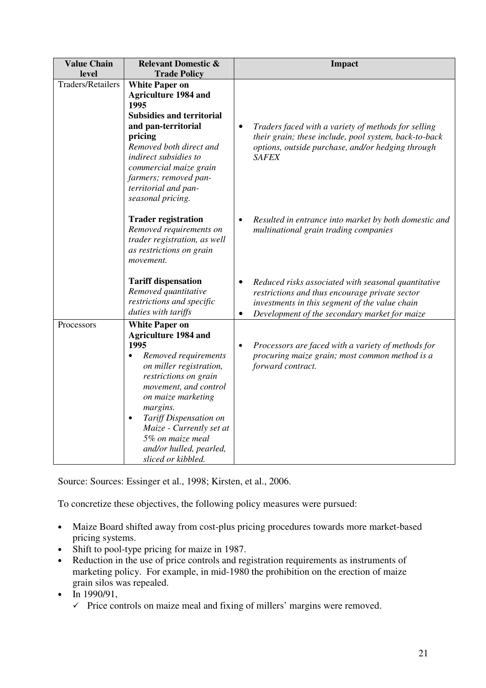| <b>Value Chain</b><br>level | <b>Relevant Domestic &amp;</b><br><b>Trade Policy</b>                                                                                                                                                                                                                                                                                                    | <b>Impact</b>                                                                                                                                                                                            |
|-----------------------------|----------------------------------------------------------------------------------------------------------------------------------------------------------------------------------------------------------------------------------------------------------------------------------------------------------------------------------------------------------|----------------------------------------------------------------------------------------------------------------------------------------------------------------------------------------------------------|
| <b>Traders/Retailers</b>    | <b>White Paper on</b><br><b>Agriculture 1984 and</b><br>1995<br><b>Subsidies and territorial</b><br>and pan-territorial<br>pricing<br>Removed both direct and<br>indirect subsidies to<br>commercial maize grain<br>farmers; removed pan-<br>territorial and pan-<br>seasonal pricing.                                                                   | Traders faced with a variety of methods for selling<br>their grain; these include, pool system, back-to-back<br>options, outside purchase, and/or hedging through<br><b>SAFEX</b>                        |
|                             | <b>Trader registration</b><br>Removed requirements on<br>trader registration, as well<br>as restrictions on grain<br>movement.                                                                                                                                                                                                                           | Resulted in entrance into market by both domestic and<br>multinational grain trading companies                                                                                                           |
|                             | <b>Tariff dispensation</b><br>Removed quantitative<br>restrictions and specific<br>duties with tariffs                                                                                                                                                                                                                                                   | Reduced risks associated with seasonal quantitative<br>restrictions and thus encourage private sector<br>investments in this segment of the value chain<br>Development of the secondary market for maize |
| Processors                  | <b>White Paper on</b><br><b>Agriculture 1984 and</b><br>1995<br>Removed requirements<br>$\bullet$<br>on miller registration,<br>restrictions on grain<br>movement, and control<br>on maize marketing<br>margins.<br>Tariff Dispensation on<br>$\bullet$<br>Maize - Currently set at<br>5% on maize meal<br>and/or hulled, pearled,<br>sliced or kibbled. | Processors are faced with a variety of methods for<br>$\bullet$<br>procuring maize grain; most common method is a<br>forward contract.                                                                   |

Source: Sources: Essinger et al., 1998; Kirsten, et al., 2006.

To concretize these objectives, the following policy measures were pursued:

- Maize Board shifted away from cost-plus pricing procedures towards more market-based pricing systems.
- Shift to pool-type pricing for maize in 1987.
- Reduction in the use of price controls and registration requirements as instruments of marketing policy. For example, in mid-1980 the prohibition on the erection of maize grain silos was repealed.
- In 1990/91,
	- $\checkmark$  Price controls on maize meal and fixing of millers' margins were removed.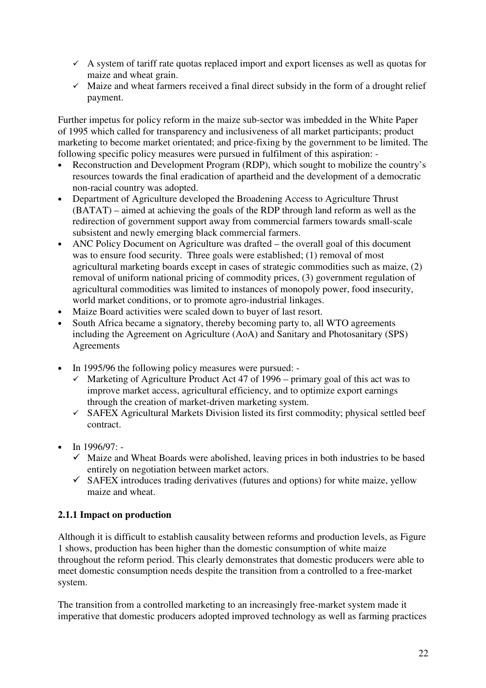- A system of tariff rate quotas replaced import and export licenses as well as quotas for maize and wheat grain.
- $\checkmark$  Maize and wheat farmers received a final direct subsidy in the form of a drought relief payment.

Further impetus for policy reform in the maize sub-sector was imbedded in the White Paper of 1995 which called for transparency and inclusiveness of all market participants; product marketing to become market orientated; and price-fixing by the government to be limited. The following specific policy measures were pursued in fulfilment of this aspiration: -

- Reconstruction and Development Program (RDP), which sought to mobilize the country's resources towards the final eradication of apartheid and the development of a democratic non-racial country was adopted.
- Department of Agriculture developed the Broadening Access to Agriculture Thrust (BATAT) – aimed at achieving the goals of the RDP through land reform as well as the redirection of government support away from commercial farmers towards small-scale subsistent and newly emerging black commercial farmers.
- ANC Policy Document on Agriculture was drafted the overall goal of this document was to ensure food security. Three goals were established; (1) removal of most agricultural marketing boards except in cases of strategic commodities such as maize, (2) removal of uniform national pricing of commodity prices, (3) government regulation of agricultural commodities was limited to instances of monopoly power, food insecurity, world market conditions, or to promote agro-industrial linkages.
- Maize Board activities were scaled down to buyer of last resort.
- South Africa became a signatory, thereby becoming party to, all WTO agreements including the Agreement on Agriculture (AoA) and Sanitary and Photosanitary (SPS) Agreements
- In 1995/96 the following policy measures were pursued:
	- $\checkmark$  Marketing of Agriculture Product Act 47 of 1996 primary goal of this act was to improve market access, agricultural efficiency, and to optimize export earnings through the creation of market-driven marketing system.
	- SAFEX Agricultural Markets Division listed its first commodity; physical settled beef contract.
- In 1996/97:
	- Maize and Wheat Boards were abolished, leaving prices in both industries to be based entirely on negotiation between market actors.
	- $\checkmark$  SAFEX introduces trading derivatives (futures and options) for white maize, yellow maize and wheat.

## **2.1.1 Impact on production**

Although it is difficult to establish causality between reforms and production levels, as Figure 1 shows, production has been higher than the domestic consumption of white maize throughout the reform period. This clearly demonstrates that domestic producers were able to meet domestic consumption needs despite the transition from a controlled to a free-market system.

The transition from a controlled marketing to an increasingly free-market system made it imperative that domestic producers adopted improved technology as well as farming practices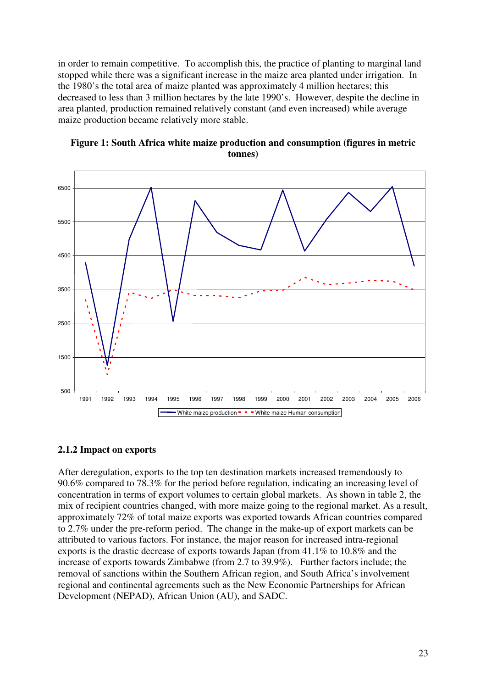in order to remain competitive. To accomplish this, the practice of planting to marginal land stopped while there was a significant increase in the maize area planted under irrigation. In the 1980's the total area of maize planted was approximately 4 million hectares; this decreased to less than 3 million hectares by the late 1990's. However, despite the decline in area planted, production remained relatively constant (and even increased) while average maize production became relatively more stable.





#### **2.1.2 Impact on exports**

After deregulation, exports to the top ten destination markets increased tremendously to 90.6% compared to 78.3% for the period before regulation, indicating an increasing level of concentration in terms of export volumes to certain global markets. As shown in table 2, the mix of recipient countries changed, with more maize going to the regional market. As a result, approximately 72% of total maize exports was exported towards African countries compared to 2.7% under the pre-reform period. The change in the make-up of export markets can be attributed to various factors. For instance, the major reason for increased intra-regional exports is the drastic decrease of exports towards Japan (from 41.1% to 10.8% and the increase of exports towards Zimbabwe (from 2.7 to 39.9%). Further factors include; the removal of sanctions within the Southern African region, and South Africa's involvement regional and continental agreements such as the New Economic Partnerships for African Development (NEPAD), African Union (AU), and SADC.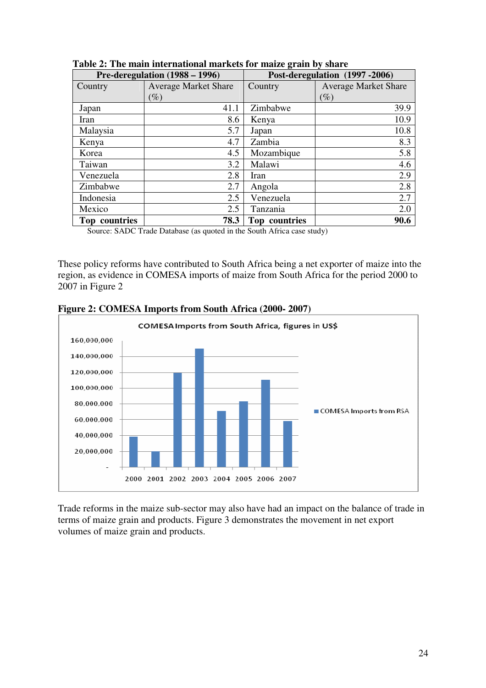|                    | Pre-deregulation $(1988 - 1996)$ |               | Post-deregulation (1997-2006) |
|--------------------|----------------------------------|---------------|-------------------------------|
| Country            | <b>Average Market Share</b>      | Country       | <b>Average Market Share</b>   |
|                    | $(\%)$                           |               | $(\%)$                        |
| Japan              | 41.1                             | Zimbabwe      | 39.9                          |
| Iran               | 8.6                              | Kenya         | 10.9                          |
| Malaysia           | 5.7                              | Japan         | 10.8                          |
| Kenya              | 4.7                              | Zambia        | 8.3                           |
| Korea              | 4.5                              | Mozambique    | 5.8                           |
| Taiwan             | 3.2                              | Malawi        | 4.6                           |
| Venezuela          | 2.8                              | Iran          | 2.9                           |
| Zimbabwe           | 2.7                              | Angola        | 2.8                           |
| Indonesia          | 2.5                              | Venezuela     | 2.7                           |
| Mexico             | 2.5                              | Tanzania      | 2.0                           |
| Top countries<br>. | 78.3                             | Top countries | 90.6<br>$\sim$                |

 **Table 2: The main international markets for maize grain by share** 

Source: SADC Trade Database (as quoted in the South Africa case study)

These policy reforms have contributed to South Africa being a net exporter of maize into the region, as evidence in COMESA imports of maize from South Africa for the period 2000 to 2007 in Figure 2



**Figure 2: COMESA Imports from South Africa (2000- 2007)** 

Trade reforms in the maize sub-sector may also have had an impact on the balance of trade in terms of maize grain and products. Figure 3 demonstrates the movement in net export volumes of maize grain and products.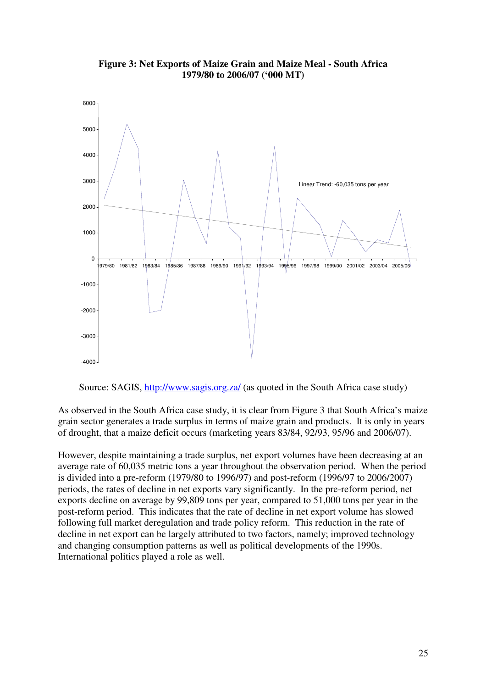

**Figure 3: Net Exports of Maize Grain and Maize Meal - South Africa 1979/80 to 2006/07 ('000 MT)** 

Source: SAGIS, http://www.sagis.org.za/ (as quoted in the South Africa case study)

As observed in the South Africa case study, it is clear from Figure 3 that South Africa's maize grain sector generates a trade surplus in terms of maize grain and products. It is only in years of drought, that a maize deficit occurs (marketing years 83/84, 92/93, 95/96 and 2006/07).

However, despite maintaining a trade surplus, net export volumes have been decreasing at an average rate of 60,035 metric tons a year throughout the observation period. When the period is divided into a pre-reform (1979/80 to 1996/97) and post-reform (1996/97 to 2006/2007) periods, the rates of decline in net exports vary significantly. In the pre-reform period, net exports decline on average by 99,809 tons per year, compared to 51,000 tons per year in the post-reform period. This indicates that the rate of decline in net export volume has slowed following full market deregulation and trade policy reform. This reduction in the rate of decline in net export can be largely attributed to two factors, namely; improved technology and changing consumption patterns as well as political developments of the 1990s. International politics played a role as well.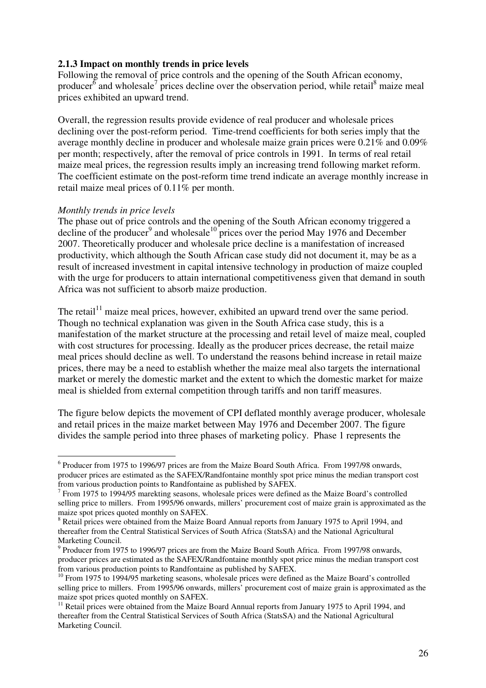### **2.1.3 Impact on monthly trends in price levels**

Following the removal of price controls and the opening of the South African economy, producer<sup>6</sup> and wholesale<sup>7</sup> prices decline over the observation period, while retail<sup>8</sup> maize meal prices exhibited an upward trend.

Overall, the regression results provide evidence of real producer and wholesale prices declining over the post-reform period. Time-trend coefficients for both series imply that the average monthly decline in producer and wholesale maize grain prices were 0.21% and 0.09% per month; respectively, after the removal of price controls in 1991. In terms of real retail maize meal prices, the regression results imply an increasing trend following market reform. The coefficient estimate on the post-reform time trend indicate an average monthly increase in retail maize meal prices of 0.11% per month.

#### *Monthly trends in price levels*

The phase out of price controls and the opening of the South African economy triggered a decline of the producer<sup>9</sup> and wholesale<sup>10</sup> prices over the period May 1976 and December 2007. Theoretically producer and wholesale price decline is a manifestation of increased productivity, which although the South African case study did not document it, may be as a result of increased investment in capital intensive technology in production of maize coupled with the urge for producers to attain international competitiveness given that demand in south Africa was not sufficient to absorb maize production.

The retail<sup>11</sup> maize meal prices, however, exhibited an upward trend over the same period. Though no technical explanation was given in the South Africa case study, this is a manifestation of the market structure at the processing and retail level of maize meal, coupled with cost structures for processing. Ideally as the producer prices decrease, the retail maize meal prices should decline as well. To understand the reasons behind increase in retail maize prices, there may be a need to establish whether the maize meal also targets the international market or merely the domestic market and the extent to which the domestic market for maize meal is shielded from external competition through tariffs and non tariff measures.

The figure below depicts the movement of CPI deflated monthly average producer, wholesale and retail prices in the maize market between May 1976 and December 2007. The figure divides the sample period into three phases of marketing policy. Phase 1 represents the

 $\overline{a}$ <sup>6</sup> Producer from 1975 to 1996/97 prices are from the Maize Board South Africa. From 1997/98 onwards, producer prices are estimated as the SAFEX/Randfontaine monthly spot price minus the median transport cost from various production points to Randfontaine as published by SAFEX.

 $7$  From 1975 to 1994/95 marekting seasons, wholesale prices were defined as the Maize Board's controlled selling price to millers. From 1995/96 onwards, millers' procurement cost of maize grain is approximated as the maize spot prices quoted monthly on SAFEX.

<sup>&</sup>lt;sup>8</sup> Retail prices were obtained from the Maize Board Annual reports from January 1975 to April 1994, and thereafter from the Central Statistical Services of South Africa (StatsSA) and the National Agricultural Marketing Council.

 $9$  Producer from 1975 to 1996/97 prices are from the Maize Board South Africa. From 1997/98 onwards, producer prices are estimated as the SAFEX/Randfontaine monthly spot price minus the median transport cost from various production points to Randfontaine as published by SAFEX.

<sup>&</sup>lt;sup>10</sup> From 1975 to 1994/95 marketing seasons, wholesale prices were defined as the Maize Board's controlled selling price to millers. From 1995/96 onwards, millers' procurement cost of maize grain is approximated as the maize spot prices quoted monthly on SAFEX.

<sup>&</sup>lt;sup>11</sup> Retail prices were obtained from the Maize Board Annual reports from January 1975 to April 1994, and thereafter from the Central Statistical Services of South Africa (StatsSA) and the National Agricultural Marketing Council.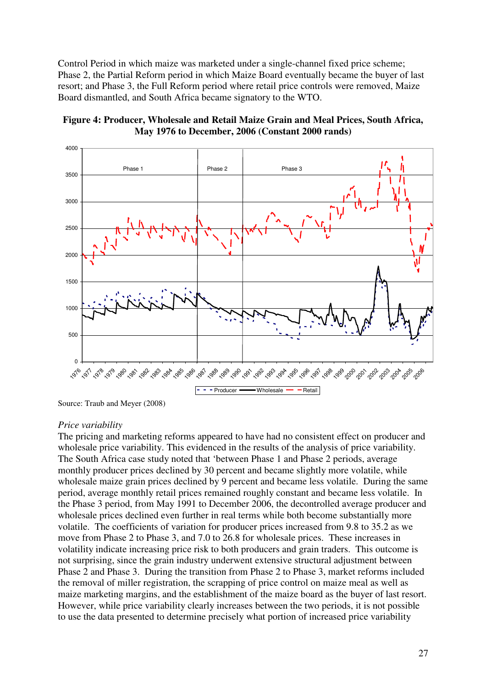Control Period in which maize was marketed under a single-channel fixed price scheme; Phase 2, the Partial Reform period in which Maize Board eventually became the buyer of last resort; and Phase 3, the Full Reform period where retail price controls were removed, Maize Board dismantled, and South Africa became signatory to the WTO.





Source: Traub and Meyer (2008)

#### *Price variability*

The pricing and marketing reforms appeared to have had no consistent effect on producer and wholesale price variability. This evidenced in the results of the analysis of price variability. The South Africa case study noted that 'between Phase 1 and Phase 2 periods, average monthly producer prices declined by 30 percent and became slightly more volatile, while wholesale maize grain prices declined by 9 percent and became less volatile. During the same period, average monthly retail prices remained roughly constant and became less volatile. In the Phase 3 period, from May 1991 to December 2006, the decontrolled average producer and wholesale prices declined even further in real terms while both become substantially more volatile. The coefficients of variation for producer prices increased from 9.8 to 35.2 as we move from Phase 2 to Phase 3, and 7.0 to 26.8 for wholesale prices. These increases in volatility indicate increasing price risk to both producers and grain traders. This outcome is not surprising, since the grain industry underwent extensive structural adjustment between Phase 2 and Phase 3. During the transition from Phase 2 to Phase 3, market reforms included the removal of miller registration, the scrapping of price control on maize meal as well as maize marketing margins, and the establishment of the maize board as the buyer of last resort. However, while price variability clearly increases between the two periods, it is not possible to use the data presented to determine precisely what portion of increased price variability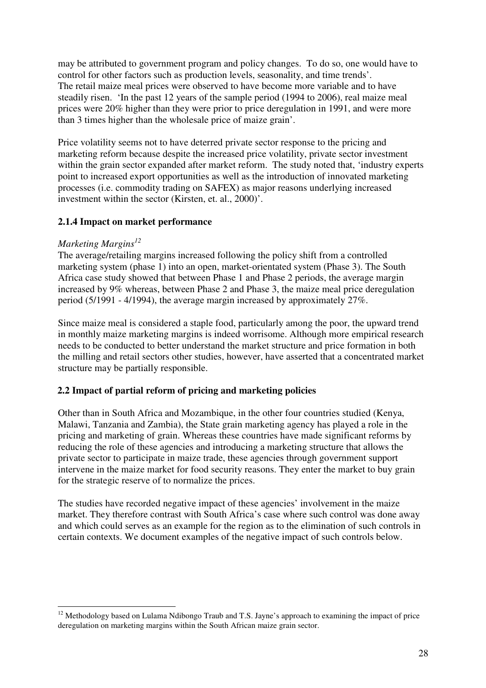may be attributed to government program and policy changes. To do so, one would have to control for other factors such as production levels, seasonality, and time trends'. The retail maize meal prices were observed to have become more variable and to have steadily risen. 'In the past 12 years of the sample period (1994 to 2006), real maize meal prices were 20% higher than they were prior to price deregulation in 1991, and were more than 3 times higher than the wholesale price of maize grain'.

Price volatility seems not to have deterred private sector response to the pricing and marketing reform because despite the increased price volatility, private sector investment within the grain sector expanded after market reform. The study noted that, 'industry experts point to increased export opportunities as well as the introduction of innovated marketing processes (i.e. commodity trading on SAFEX) as major reasons underlying increased investment within the sector (Kirsten, et. al., 2000)'.

## **2.1.4 Impact on market performance**

## *Marketing Margins<sup>12</sup>*

 $\overline{a}$ 

The average/retailing margins increased following the policy shift from a controlled marketing system (phase 1) into an open, market-orientated system (Phase 3). The South Africa case study showed that between Phase 1 and Phase 2 periods, the average margin increased by 9% whereas, between Phase 2 and Phase 3, the maize meal price deregulation period (5/1991 - 4/1994), the average margin increased by approximately 27%.

Since maize meal is considered a staple food, particularly among the poor, the upward trend in monthly maize marketing margins is indeed worrisome. Although more empirical research needs to be conducted to better understand the market structure and price formation in both the milling and retail sectors other studies, however, have asserted that a concentrated market structure may be partially responsible.

## **2.2 Impact of partial reform of pricing and marketing policies**

Other than in South Africa and Mozambique, in the other four countries studied (Kenya, Malawi, Tanzania and Zambia), the State grain marketing agency has played a role in the pricing and marketing of grain. Whereas these countries have made significant reforms by reducing the role of these agencies and introducing a marketing structure that allows the private sector to participate in maize trade, these agencies through government support intervene in the maize market for food security reasons. They enter the market to buy grain for the strategic reserve of to normalize the prices.

The studies have recorded negative impact of these agencies' involvement in the maize market. They therefore contrast with South Africa's case where such control was done away and which could serves as an example for the region as to the elimination of such controls in certain contexts. We document examples of the negative impact of such controls below.

 $12$  Methodology based on Lulama Ndibongo Traub and T.S. Jayne's approach to examining the impact of price deregulation on marketing margins within the South African maize grain sector.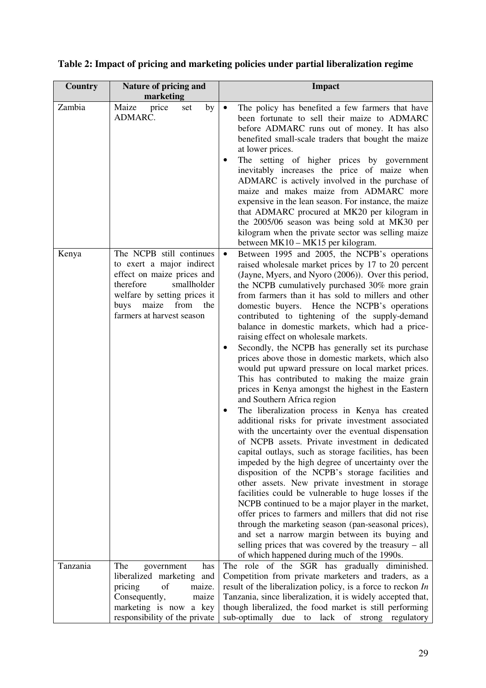| <b>Country</b> | Nature of pricing and<br>marketing                                                                                                                                                                        | <b>Impact</b>                                                                                                                                                                                                                                                                                                                                                                                                                                                                                                                                                                                                                                                                                                                                                                                                                                                                                                                                                                                                                                                                                                                                                                                                                                                                                                                                                                                                                                                                                                                                                                                                      |
|----------------|-----------------------------------------------------------------------------------------------------------------------------------------------------------------------------------------------------------|--------------------------------------------------------------------------------------------------------------------------------------------------------------------------------------------------------------------------------------------------------------------------------------------------------------------------------------------------------------------------------------------------------------------------------------------------------------------------------------------------------------------------------------------------------------------------------------------------------------------------------------------------------------------------------------------------------------------------------------------------------------------------------------------------------------------------------------------------------------------------------------------------------------------------------------------------------------------------------------------------------------------------------------------------------------------------------------------------------------------------------------------------------------------------------------------------------------------------------------------------------------------------------------------------------------------------------------------------------------------------------------------------------------------------------------------------------------------------------------------------------------------------------------------------------------------------------------------------------------------|
| Zambia         | Maize<br>price<br>by<br>set<br>ADMARC.                                                                                                                                                                    | The policy has benefited a few farmers that have<br>$\bullet$<br>been fortunate to sell their maize to ADMARC<br>before ADMARC runs out of money. It has also<br>benefited small-scale traders that bought the maize<br>at lower prices.<br>The setting of higher prices by government<br>inevitably increases the price of maize when<br>ADMARC is actively involved in the purchase of<br>maize and makes maize from ADMARC more<br>expensive in the lean season. For instance, the maize<br>that ADMARC procured at MK20 per kilogram in<br>the 2005/06 season was being sold at MK30 per<br>kilogram when the private sector was selling maize<br>between MK10 – MK15 per kilogram.                                                                                                                                                                                                                                                                                                                                                                                                                                                                                                                                                                                                                                                                                                                                                                                                                                                                                                                            |
| Kenya          | The NCPB still continues<br>to exert a major indirect<br>effect on maize prices and<br>therefore<br>smallholder<br>welfare by setting prices it<br>maize from<br>buys<br>the<br>farmers at harvest season | Between 1995 and 2005, the NCPB's operations<br>$\bullet$<br>raised wholesale market prices by 17 to 20 percent<br>(Jayne, Myers, and Nyoro (2006)). Over this period,<br>the NCPB cumulatively purchased 30% more grain<br>from farmers than it has sold to millers and other<br>domestic buyers. Hence the NCPB's operations<br>contributed to tightening of the supply-demand<br>balance in domestic markets, which had a price-<br>raising effect on wholesale markets.<br>Secondly, the NCPB has generally set its purchase<br>prices above those in domestic markets, which also<br>would put upward pressure on local market prices.<br>This has contributed to making the maize grain<br>prices in Kenya amongst the highest in the Eastern<br>and Southern Africa region<br>The liberalization process in Kenya has created<br>additional risks for private investment associated<br>with the uncertainty over the eventual dispensation<br>of NCPB assets. Private investment in dedicated<br>capital outlays, such as storage facilities, has been<br>impeded by the high degree of uncertainty over the<br>disposition of the NCPB's storage facilities and<br>other assets. New private investment in storage<br>facilities could be vulnerable to huge losses if the<br>NCPB continued to be a major player in the market,<br>offer prices to farmers and millers that did not rise<br>through the marketing season (pan-seasonal prices),<br>and set a narrow margin between its buying and<br>selling prices that was covered by the treasury - all<br>of which happened during much of the 1990s. |
| Tanzania       | The<br>government<br>has<br>liberalized marketing<br>and<br>pricing<br>of<br>maize.<br>Consequently,<br>maize<br>marketing is now a key<br>responsibility of the private                                  | The role of the SGR has gradually diminished.<br>Competition from private marketers and traders, as a<br>result of the liberalization policy, is a force to reckon In<br>Tanzania, since liberalization, it is widely accepted that,<br>though liberalized, the food market is still performing<br>sub-optimally due to lack of strong regulatory                                                                                                                                                                                                                                                                                                                                                                                                                                                                                                                                                                                                                                                                                                                                                                                                                                                                                                                                                                                                                                                                                                                                                                                                                                                                  |

# **Table 2: Impact of pricing and marketing policies under partial liberalization regime**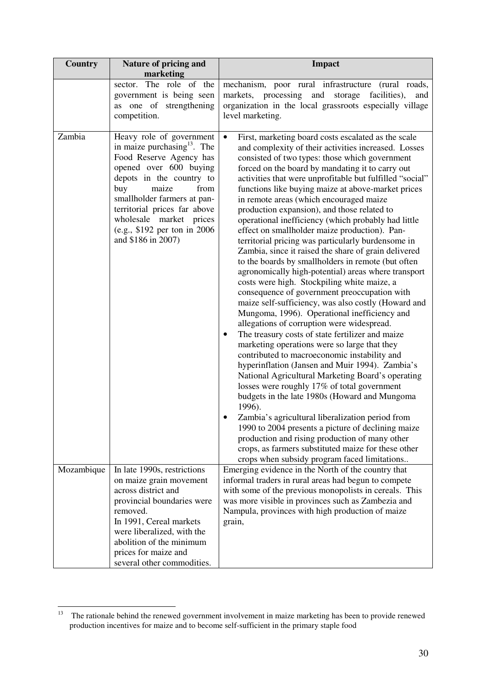| Country    | Nature of pricing and<br>marketing                                                                                                                                                                                                                                                                                            | <b>Impact</b>                                                                                                                                                                                                                                                                                                                                                                                                                                                                                                                                                                                                                                                                                                                                                                                                                                                                                                                                                                                                                                                                                                                                                                                                                                                                                                                                                                                                                                                                                                                                                                                                                                                                   |
|------------|-------------------------------------------------------------------------------------------------------------------------------------------------------------------------------------------------------------------------------------------------------------------------------------------------------------------------------|---------------------------------------------------------------------------------------------------------------------------------------------------------------------------------------------------------------------------------------------------------------------------------------------------------------------------------------------------------------------------------------------------------------------------------------------------------------------------------------------------------------------------------------------------------------------------------------------------------------------------------------------------------------------------------------------------------------------------------------------------------------------------------------------------------------------------------------------------------------------------------------------------------------------------------------------------------------------------------------------------------------------------------------------------------------------------------------------------------------------------------------------------------------------------------------------------------------------------------------------------------------------------------------------------------------------------------------------------------------------------------------------------------------------------------------------------------------------------------------------------------------------------------------------------------------------------------------------------------------------------------------------------------------------------------|
|            | sector. The role of the<br>government is being seen<br>as one of strengthening<br>competition.                                                                                                                                                                                                                                | mechanism, poor rural infrastructure (rural roads,<br>markets, processing<br>and<br>storage<br>facilities),<br>and<br>organization in the local grassroots especially village<br>level marketing.                                                                                                                                                                                                                                                                                                                                                                                                                                                                                                                                                                                                                                                                                                                                                                                                                                                                                                                                                                                                                                                                                                                                                                                                                                                                                                                                                                                                                                                                               |
| Zambia     | Heavy role of government<br>in maize purchasing <sup>13</sup> . The<br>Food Reserve Agency has<br>opened over 600 buying<br>depots in the country to<br>buy<br>maize<br>from<br>smallholder farmers at pan-<br>territorial prices far above<br>wholesale market prices<br>(e.g., \$192 per ton in 2006)<br>and \$186 in 2007) | $\bullet$<br>First, marketing board costs escalated as the scale<br>and complexity of their activities increased. Losses<br>consisted of two types: those which government<br>forced on the board by mandating it to carry out<br>activities that were unprofitable but fulfilled "social"<br>functions like buying maize at above-market prices<br>in remote areas (which encouraged maize<br>production expansion), and those related to<br>operational inefficiency (which probably had little<br>effect on smallholder maize production). Pan-<br>territorial pricing was particularly burdensome in<br>Zambia, since it raised the share of grain delivered<br>to the boards by smallholders in remote (but often<br>agronomically high-potential) areas where transport<br>costs were high. Stockpiling white maize, a<br>consequence of government preoccupation with<br>maize self-sufficiency, was also costly (Howard and<br>Mungoma, 1996). Operational inefficiency and<br>allegations of corruption were widespread.<br>The treasury costs of state fertilizer and maize<br>٠<br>marketing operations were so large that they<br>contributed to macroeconomic instability and<br>hyperinflation (Jansen and Muir 1994). Zambia's<br>National Agricultural Marketing Board's operating<br>losses were roughly 17% of total government<br>budgets in the late 1980s (Howard and Mungoma<br>1996).<br>Zambia's agricultural liberalization period from<br>1990 to 2004 presents a picture of declining maize<br>production and rising production of many other<br>crops, as farmers substituted maize for these other<br>crops when subsidy program faced limitations |
| Mozambique | In late 1990s, restrictions<br>on maize grain movement<br>across district and<br>provincial boundaries were<br>removed.<br>In 1991, Cereal markets<br>were liberalized, with the                                                                                                                                              | Emerging evidence in the North of the country that<br>informal traders in rural areas had begun to compete<br>with some of the previous monopolists in cereals. This<br>was more visible in provinces such as Zambezia and<br>Nampula, provinces with high production of maize<br>grain,                                                                                                                                                                                                                                                                                                                                                                                                                                                                                                                                                                                                                                                                                                                                                                                                                                                                                                                                                                                                                                                                                                                                                                                                                                                                                                                                                                                        |
|            | abolition of the minimum<br>prices for maize and<br>several other commodities.                                                                                                                                                                                                                                                |                                                                                                                                                                                                                                                                                                                                                                                                                                                                                                                                                                                                                                                                                                                                                                                                                                                                                                                                                                                                                                                                                                                                                                                                                                                                                                                                                                                                                                                                                                                                                                                                                                                                                 |

 $13$ <sup>13</sup> The rationale behind the renewed government involvement in maize marketing has been to provide renewed production incentives for maize and to become self-sufficient in the primary staple food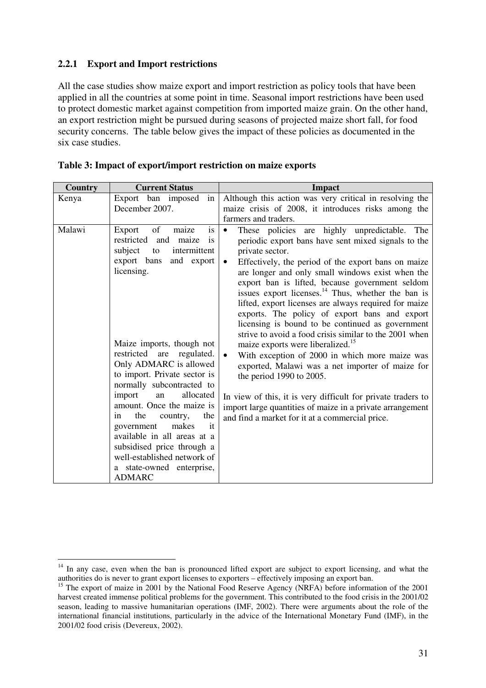### **2.2.1 Export and Import restrictions**

 $\overline{a}$ 

All the case studies show maize export and import restriction as policy tools that have been applied in all the countries at some point in time. Seasonal import restrictions have been used to protect domestic market against competition from imported maize grain. On the other hand, an export restriction might be pursued during seasons of projected maize short fall, for food security concerns. The table below gives the impact of these policies as documented in the six case studies.

| Country | <b>Current Status</b>                                                                                                                                                                                                                                                                                                                                                                                                                                                                                                                                            | <b>Impact</b>                                                                                                                                                                                                                                                                                                                                                                                                                                                                                                                                                                                                                                                                                                                                                                                                                                                                                                                                                                               |
|---------|------------------------------------------------------------------------------------------------------------------------------------------------------------------------------------------------------------------------------------------------------------------------------------------------------------------------------------------------------------------------------------------------------------------------------------------------------------------------------------------------------------------------------------------------------------------|---------------------------------------------------------------------------------------------------------------------------------------------------------------------------------------------------------------------------------------------------------------------------------------------------------------------------------------------------------------------------------------------------------------------------------------------------------------------------------------------------------------------------------------------------------------------------------------------------------------------------------------------------------------------------------------------------------------------------------------------------------------------------------------------------------------------------------------------------------------------------------------------------------------------------------------------------------------------------------------------|
| Kenya   | Export ban imposed<br>in<br>December 2007.                                                                                                                                                                                                                                                                                                                                                                                                                                                                                                                       | Although this action was very critical in resolving the<br>maize crisis of 2008, it introduces risks among the<br>farmers and traders.                                                                                                                                                                                                                                                                                                                                                                                                                                                                                                                                                                                                                                                                                                                                                                                                                                                      |
| Malawi  | is<br>Export<br>of<br>maize<br>restricted<br>maize<br>and<br>is<br>subject<br>intermittent<br>to<br>export bans<br>and export<br>licensing.<br>Maize imports, though not<br>restricted are<br>regulated.<br>Only ADMARC is allowed<br>to import. Private sector is<br>normally subcontracted to<br>import<br>allocated<br>an<br>amount. Once the maize is<br>the<br>the<br>in<br>country,<br>makes<br>government<br>it<br>available in all areas at a<br>subsidised price through a<br>well-established network of<br>a state-owned enterprise,<br><b>ADMARC</b> | These policies are highly unpredictable.<br>The<br>$\bullet$<br>periodic export bans have sent mixed signals to the<br>private sector.<br>Effectively, the period of the export bans on maize<br>$\bullet$<br>are longer and only small windows exist when the<br>export ban is lifted, because government seldom<br>issues export licenses. <sup>14</sup> Thus, whether the ban is<br>lifted, export licenses are always required for maize<br>exports. The policy of export bans and export<br>licensing is bound to be continued as government<br>strive to avoid a food crisis similar to the 2001 when<br>maize exports were liberalized. <sup>15</sup><br>With exception of 2000 in which more maize was<br>$\bullet$<br>exported, Malawi was a net importer of maize for<br>the period 1990 to 2005.<br>In view of this, it is very difficult for private traders to<br>import large quantities of maize in a private arrangement<br>and find a market for it at a commercial price. |

|  |  | Table 3: Impact of export/import restriction on maize exports |
|--|--|---------------------------------------------------------------|
|  |  |                                                               |

<sup>&</sup>lt;sup>14</sup> In any case, even when the ban is pronounced lifted export are subject to export licensing, and what the authorities do is never to grant export licenses to exporters – effectively imposing an export ban.

<sup>&</sup>lt;sup>15</sup> The export of maize in 2001 by the National Food Reserve Agency (NRFA) before information of the 2001 harvest created immense political problems for the government. This contributed to the food crisis in the 2001/02 season, leading to massive humanitarian operations (IMF, 2002). There were arguments about the role of the international financial institutions, particularly in the advice of the International Monetary Fund (IMF), in the 2001/02 food crisis (Devereux, 2002).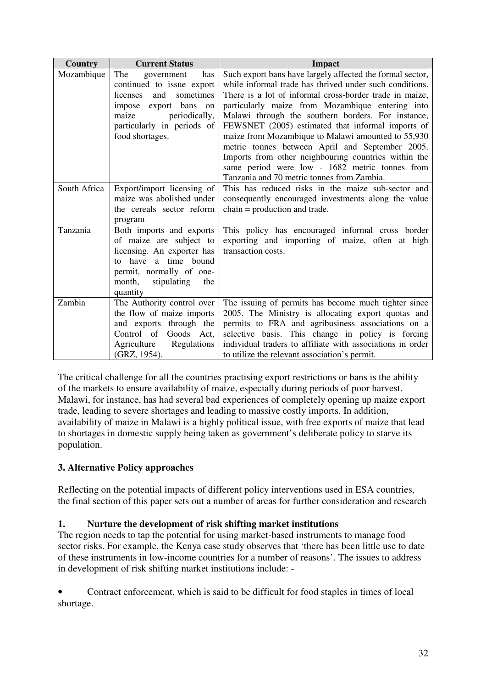| Country      | <b>Current Status</b>                                                                                                                                                                        | <b>Impact</b>                                                                                                                                                                                                                                                                                                                                                                                                                                                                                                                                                                                                   |
|--------------|----------------------------------------------------------------------------------------------------------------------------------------------------------------------------------------------|-----------------------------------------------------------------------------------------------------------------------------------------------------------------------------------------------------------------------------------------------------------------------------------------------------------------------------------------------------------------------------------------------------------------------------------------------------------------------------------------------------------------------------------------------------------------------------------------------------------------|
| Mozambique   | The<br>has<br>government<br>continued to issue export<br>sometimes<br>and<br>licenses<br>impose export bans<br>on<br>periodically,<br>maize<br>particularly in periods of<br>food shortages. | Such export bans have largely affected the formal sector,<br>while informal trade has thrived under such conditions.<br>There is a lot of informal cross-border trade in maize,<br>particularly maize from Mozambique entering into<br>Malawi through the southern borders. For instance,<br>FEWSNET (2005) estimated that informal imports of<br>maize from Mozambique to Malawi amounted to 55,930<br>metric tonnes between April and September 2005.<br>Imports from other neighbouring countries within the<br>same period were low - 1682 metric tonnes from<br>Tanzania and 70 metric tonnes from Zambia. |
| South Africa | Export/import licensing of<br>maize was abolished under<br>the cereals sector reform<br>program                                                                                              | This has reduced risks in the maize sub-sector and<br>consequently encouraged investments along the value<br>$chain = production and trade.$                                                                                                                                                                                                                                                                                                                                                                                                                                                                    |
| Tanzania     | Both imports and exports<br>of maize are subject to<br>licensing. An exporter has<br>have a time bound<br>to<br>permit, normally of one-<br>month, stipulating<br>the<br>quantity            | This policy has encouraged informal cross border<br>exporting and importing of maize, often at high<br>transaction costs.                                                                                                                                                                                                                                                                                                                                                                                                                                                                                       |
| Zambia       | The Authority control over<br>the flow of maize imports<br>and exports through the<br>Control of<br>Goods Act,<br>Agriculture<br>Regulations<br>(GRZ, 1954).                                 | The issuing of permits has become much tighter since<br>2005. The Ministry is allocating export quotas and<br>permits to FRA and agribusiness associations on a<br>selective basis. This change in policy is forcing<br>individual traders to affiliate with associations in order<br>to utilize the relevant association's permit.                                                                                                                                                                                                                                                                             |

The critical challenge for all the countries practising export restrictions or bans is the ability of the markets to ensure availability of maize, especially during periods of poor harvest. Malawi, for instance, has had several bad experiences of completely opening up maize export trade, leading to severe shortages and leading to massive costly imports. In addition, availability of maize in Malawi is a highly political issue, with free exports of maize that lead to shortages in domestic supply being taken as government's deliberate policy to starve its population.

## **3. Alternative Policy approaches**

Reflecting on the potential impacts of different policy interventions used in ESA countries, the final section of this paper sets out a number of areas for further consideration and research

## **1. Nurture the development of risk shifting market institutions**

The region needs to tap the potential for using market-based instruments to manage food sector risks. For example, the Kenya case study observes that 'there has been little use to date of these instruments in low-income countries for a number of reasons'. The issues to address in development of risk shifting market institutions include: -

• Contract enforcement, which is said to be difficult for food staples in times of local shortage.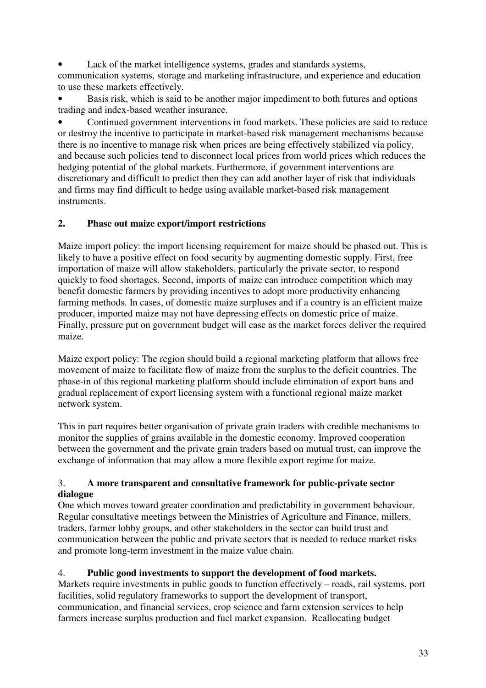Lack of the market intelligence systems, grades and standards systems,

communication systems, storage and marketing infrastructure, and experience and education to use these markets effectively.

Basis risk, which is said to be another major impediment to both futures and options trading and index-based weather insurance.

• Continued government interventions in food markets. These policies are said to reduce or destroy the incentive to participate in market-based risk management mechanisms because there is no incentive to manage risk when prices are being effectively stabilized via policy, and because such policies tend to disconnect local prices from world prices which reduces the hedging potential of the global markets. Furthermore, if government interventions are discretionary and difficult to predict then they can add another layer of risk that individuals and firms may find difficult to hedge using available market-based risk management instruments.

## **2. Phase out maize export/import restrictions**

Maize import policy: the import licensing requirement for maize should be phased out. This is likely to have a positive effect on food security by augmenting domestic supply. First, free importation of maize will allow stakeholders, particularly the private sector, to respond quickly to food shortages. Second, imports of maize can introduce competition which may benefit domestic farmers by providing incentives to adopt more productivity enhancing farming methods. In cases, of domestic maize surpluses and if a country is an efficient maize producer, imported maize may not have depressing effects on domestic price of maize. Finally, pressure put on government budget will ease as the market forces deliver the required maize.

Maize export policy: The region should build a regional marketing platform that allows free movement of maize to facilitate flow of maize from the surplus to the deficit countries. The phase-in of this regional marketing platform should include elimination of export bans and gradual replacement of export licensing system with a functional regional maize market network system.

This in part requires better organisation of private grain traders with credible mechanisms to monitor the supplies of grains available in the domestic economy. Improved cooperation between the government and the private grain traders based on mutual trust, can improve the exchange of information that may allow a more flexible export regime for maize.

## 3. **A more transparent and consultative framework for public-private sector dialogue**

One which moves toward greater coordination and predictability in government behaviour. Regular consultative meetings between the Ministries of Agriculture and Finance, millers, traders, farmer lobby groups, and other stakeholders in the sector can build trust and communication between the public and private sectors that is needed to reduce market risks and promote long-term investment in the maize value chain.

## 4. **Public good investments to support the development of food markets.**

Markets require investments in public goods to function effectively – roads, rail systems, port facilities, solid regulatory frameworks to support the development of transport, communication, and financial services, crop science and farm extension services to help farmers increase surplus production and fuel market expansion. Reallocating budget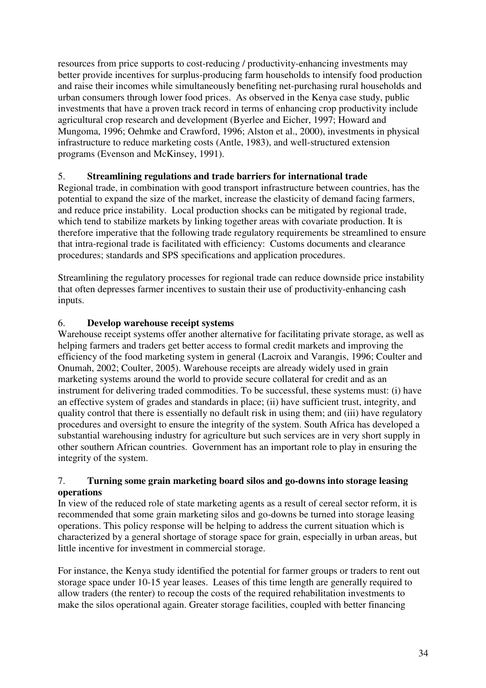resources from price supports to cost-reducing / productivity-enhancing investments may better provide incentives for surplus-producing farm households to intensify food production and raise their incomes while simultaneously benefiting net-purchasing rural households and urban consumers through lower food prices. As observed in the Kenya case study, public investments that have a proven track record in terms of enhancing crop productivity include agricultural crop research and development (Byerlee and Eicher, 1997; Howard and Mungoma, 1996; Oehmke and Crawford, 1996; Alston et al., 2000), investments in physical infrastructure to reduce marketing costs (Antle, 1983), and well-structured extension programs (Evenson and McKinsey, 1991).

## 5. **Streamlining regulations and trade barriers for international trade**

Regional trade, in combination with good transport infrastructure between countries, has the potential to expand the size of the market, increase the elasticity of demand facing farmers, and reduce price instability. Local production shocks can be mitigated by regional trade, which tend to stabilize markets by linking together areas with covariate production. It is therefore imperative that the following trade regulatory requirements be streamlined to ensure that intra-regional trade is facilitated with efficiency: Customs documents and clearance procedures; standards and SPS specifications and application procedures.

Streamlining the regulatory processes for regional trade can reduce downside price instability that often depresses farmer incentives to sustain their use of productivity-enhancing cash inputs.

## 6. **Develop warehouse receipt systems**

Warehouse receipt systems offer another alternative for facilitating private storage, as well as helping farmers and traders get better access to formal credit markets and improving the efficiency of the food marketing system in general (Lacroix and Varangis, 1996; Coulter and Onumah, 2002; Coulter, 2005). Warehouse receipts are already widely used in grain marketing systems around the world to provide secure collateral for credit and as an instrument for delivering traded commodities. To be successful, these systems must: (i) have an effective system of grades and standards in place; (ii) have sufficient trust, integrity, and quality control that there is essentially no default risk in using them; and (iii) have regulatory procedures and oversight to ensure the integrity of the system. South Africa has developed a substantial warehousing industry for agriculture but such services are in very short supply in other southern African countries. Government has an important role to play in ensuring the integrity of the system.

### 7. **Turning some grain marketing board silos and go-downs into storage leasing operations**

In view of the reduced role of state marketing agents as a result of cereal sector reform, it is recommended that some grain marketing silos and go-downs be turned into storage leasing operations. This policy response will be helping to address the current situation which is characterized by a general shortage of storage space for grain, especially in urban areas, but little incentive for investment in commercial storage.

For instance, the Kenya study identified the potential for farmer groups or traders to rent out storage space under 10-15 year leases. Leases of this time length are generally required to allow traders (the renter) to recoup the costs of the required rehabilitation investments to make the silos operational again. Greater storage facilities, coupled with better financing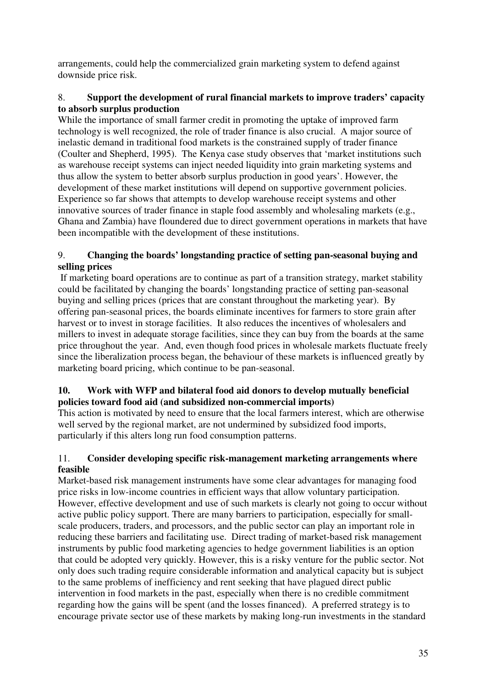arrangements, could help the commercialized grain marketing system to defend against downside price risk.

### 8. **Support the development of rural financial markets to improve traders' capacity to absorb surplus production**

While the importance of small farmer credit in promoting the uptake of improved farm technology is well recognized, the role of trader finance is also crucial. A major source of inelastic demand in traditional food markets is the constrained supply of trader finance (Coulter and Shepherd, 1995). The Kenya case study observes that 'market institutions such as warehouse receipt systems can inject needed liquidity into grain marketing systems and thus allow the system to better absorb surplus production in good years'. However, the development of these market institutions will depend on supportive government policies. Experience so far shows that attempts to develop warehouse receipt systems and other innovative sources of trader finance in staple food assembly and wholesaling markets (e.g., Ghana and Zambia) have floundered due to direct government operations in markets that have been incompatible with the development of these institutions.

## 9. **Changing the boards' longstanding practice of setting pan-seasonal buying and selling prices**

 If marketing board operations are to continue as part of a transition strategy, market stability could be facilitated by changing the boards' longstanding practice of setting pan-seasonal buying and selling prices (prices that are constant throughout the marketing year). By offering pan-seasonal prices, the boards eliminate incentives for farmers to store grain after harvest or to invest in storage facilities. It also reduces the incentives of wholesalers and millers to invest in adequate storage facilities, since they can buy from the boards at the same price throughout the year. And, even though food prices in wholesale markets fluctuate freely since the liberalization process began, the behaviour of these markets is influenced greatly by marketing board pricing, which continue to be pan-seasonal.

## **10. Work with WFP and bilateral food aid donors to develop mutually beneficial policies toward food aid (and subsidized non-commercial imports)**

This action is motivated by need to ensure that the local farmers interest, which are otherwise well served by the regional market, are not undermined by subsidized food imports, particularly if this alters long run food consumption patterns.

## 11. **Consider developing specific risk-management marketing arrangements where feasible**

Market-based risk management instruments have some clear advantages for managing food price risks in low-income countries in efficient ways that allow voluntary participation. However, effective development and use of such markets is clearly not going to occur without active public policy support. There are many barriers to participation, especially for smallscale producers, traders, and processors, and the public sector can play an important role in reducing these barriers and facilitating use. Direct trading of market-based risk management instruments by public food marketing agencies to hedge government liabilities is an option that could be adopted very quickly. However, this is a risky venture for the public sector. Not only does such trading require considerable information and analytical capacity but is subject to the same problems of inefficiency and rent seeking that have plagued direct public intervention in food markets in the past, especially when there is no credible commitment regarding how the gains will be spent (and the losses financed). A preferred strategy is to encourage private sector use of these markets by making long-run investments in the standard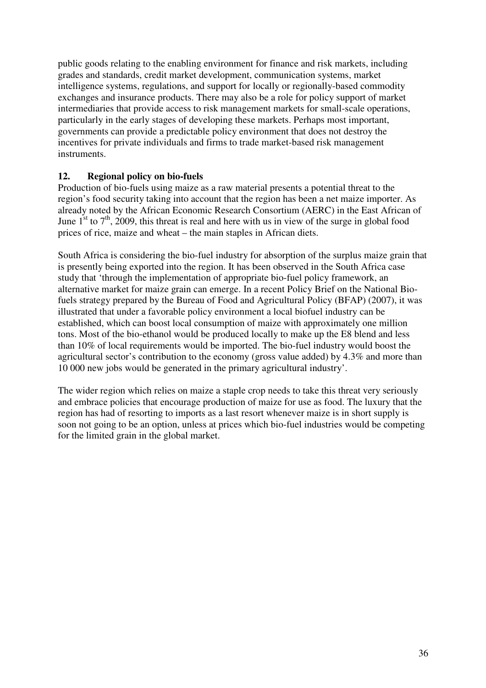public goods relating to the enabling environment for finance and risk markets, including grades and standards, credit market development, communication systems, market intelligence systems, regulations, and support for locally or regionally-based commodity exchanges and insurance products. There may also be a role for policy support of market intermediaries that provide access to risk management markets for small-scale operations, particularly in the early stages of developing these markets. Perhaps most important, governments can provide a predictable policy environment that does not destroy the incentives for private individuals and firms to trade market-based risk management instruments.

## **12. Regional policy on bio-fuels**

Production of bio-fuels using maize as a raw material presents a potential threat to the region's food security taking into account that the region has been a net maize importer. As already noted by the African Economic Research Consortium (AERC) in the East African of June  $1<sup>st</sup>$  to  $7<sup>th</sup>$ , 2009, this threat is real and here with us in view of the surge in global food prices of rice, maize and wheat – the main staples in African diets.

South Africa is considering the bio-fuel industry for absorption of the surplus maize grain that is presently being exported into the region. It has been observed in the South Africa case study that 'through the implementation of appropriate bio-fuel policy framework, an alternative market for maize grain can emerge. In a recent Policy Brief on the National Biofuels strategy prepared by the Bureau of Food and Agricultural Policy (BFAP) (2007), it was illustrated that under a favorable policy environment a local biofuel industry can be established, which can boost local consumption of maize with approximately one million tons. Most of the bio-ethanol would be produced locally to make up the E8 blend and less than 10% of local requirements would be imported. The bio-fuel industry would boost the agricultural sector's contribution to the economy (gross value added) by 4.3% and more than 10 000 new jobs would be generated in the primary agricultural industry'.

The wider region which relies on maize a staple crop needs to take this threat very seriously and embrace policies that encourage production of maize for use as food. The luxury that the region has had of resorting to imports as a last resort whenever maize is in short supply is soon not going to be an option, unless at prices which bio-fuel industries would be competing for the limited grain in the global market.